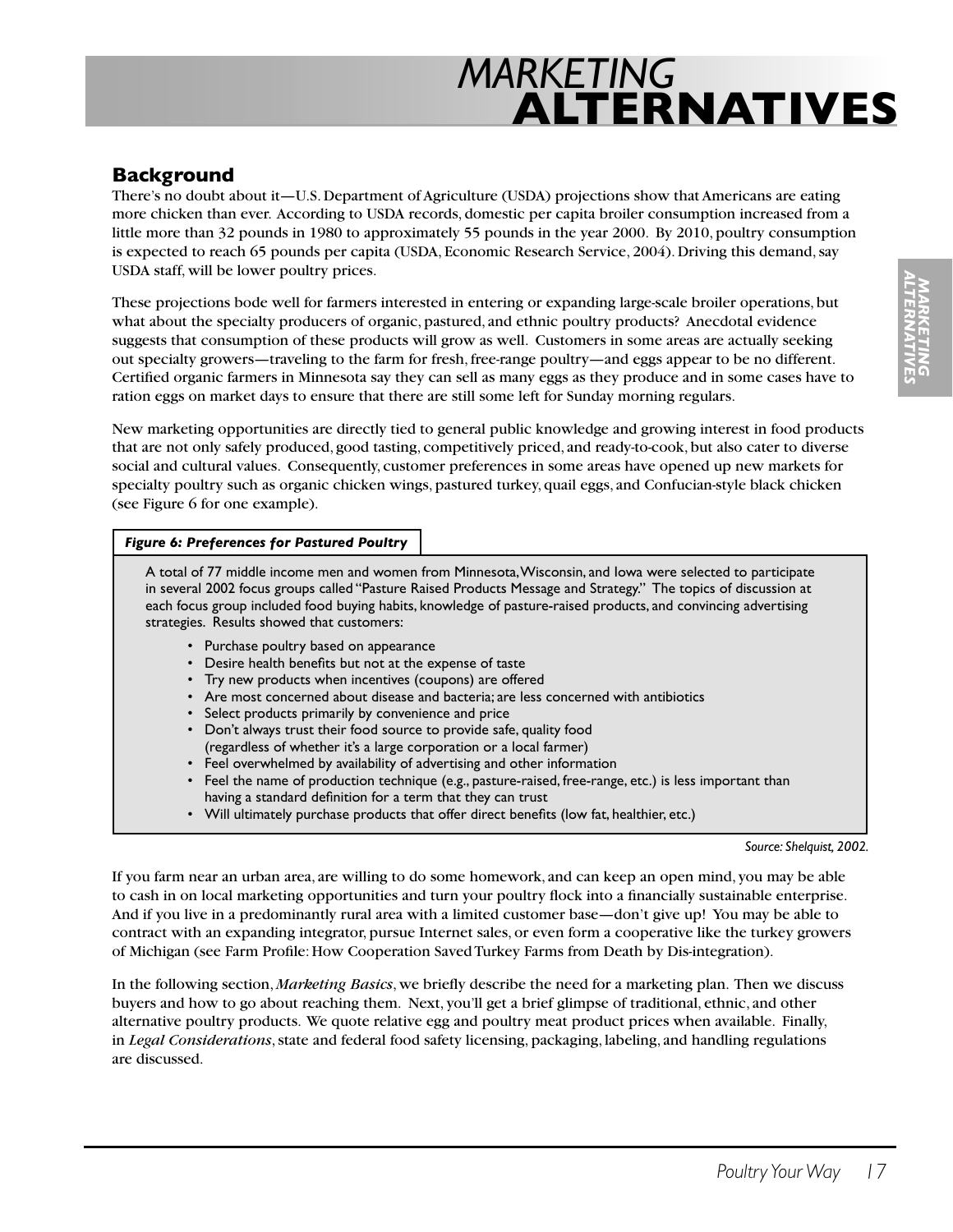## **Background**

There's no doubt about it—U.S. Department of Agriculture (USDA) projections show that Americans are eating more chicken than ever. According to USDA records, domestic per capita broiler consumption increased from a little more than 32 pounds in 1980 to approximately 55 pounds in the year 2000. By 2010, poultry consumption is expected to reach 65 pounds per capita (USDA, Economic Research Service, 2004). Driving this demand, say USDA staff, will be lower poultry prices.

These projections bode well for farmers interested in entering or expanding large-scale broiler operations, but what about the specialty producers of organic, pastured, and ethnic poultry products? Anecdotal evidence suggests that consumption of these products will grow as well. Customers in some areas are actually seeking out specialty growers—traveling to the farm for fresh, free-range poultry—and eggs appear to be no different. Certified organic farmers in Minnesota say they can sell as many eggs as they produce and in some cases have to ration eggs on market days to ensure that there are still some left for Sunday morning regulars.

New marketing opportunities are directly tied to general public knowledge and growing interest in food products that are not only safely produced, good tasting, competitively priced, and ready-to-cook, but also cater to diverse social and cultural values. Consequently, customer preferences in some areas have opened up new markets for specialty poultry such as organic chicken wings, pastured turkey, quail eggs, and Confucian-style black chicken (see Figure 6 for one example).

#### *Figure 6: Preferences for Pastured Poultry*

A total of 77 middle income men and women from Minnesota, Wisconsin, and Iowa were selected to participate in several 2002 focus groups called "Pasture Raised Products Message and Strategy." The topics of discussion at each focus group included food buying habits, knowledge of pasture-raised products, and convincing advertising strategies. Results showed that customers:

- Purchase poultry based on appearance
- Desire health benefits but not at the expense of taste
- Try new products when incentives (coupons) are offered
- Are most concerned about disease and bacteria; are less concerned with antibiotics
- Select products primarily by convenience and price
- Don't always trust their food source to provide safe, quality food (regardless of whether it's a large corporation or a local farmer)
- Feel overwhelmed by availability of advertising and other information
- Feel the name of production technique (e.g., pasture-raised, free-range, etc.) is less important than having a standard definition for a term that they can trust
- Will ultimately purchase products that offer direct benefits (low fat, healthier, etc.)

*Source: Shelquist, 2002.*

If you farm near an urban area, are willing to do some homework, and can keep an open mind, you may be able to cash in on local marketing opportunities and turn your poultry flock into a financially sustainable enterprise. And if you live in a predominantly rural area with a limited customer base—don't give up! You may be able to contract with an expanding integrator, pursue Internet sales, or even form a cooperative like the turkey growers of Michigan (see Farm Profile: How Cooperation Saved Turkey Farms from Death by Dis-integration).

In the following section, *Marketing Basics*, we briefly describe the need for a marketing plan. Then we discuss buyers and how to go about reaching them. Next, you'll get a brief glimpse of traditional, ethnic, and other alternative poultry products. We quote relative egg and poultry meat product prices when available. Finally, in *Legal Considerations*, state and federal food safety licensing, packaging, labeling, and handling regulations are discussed.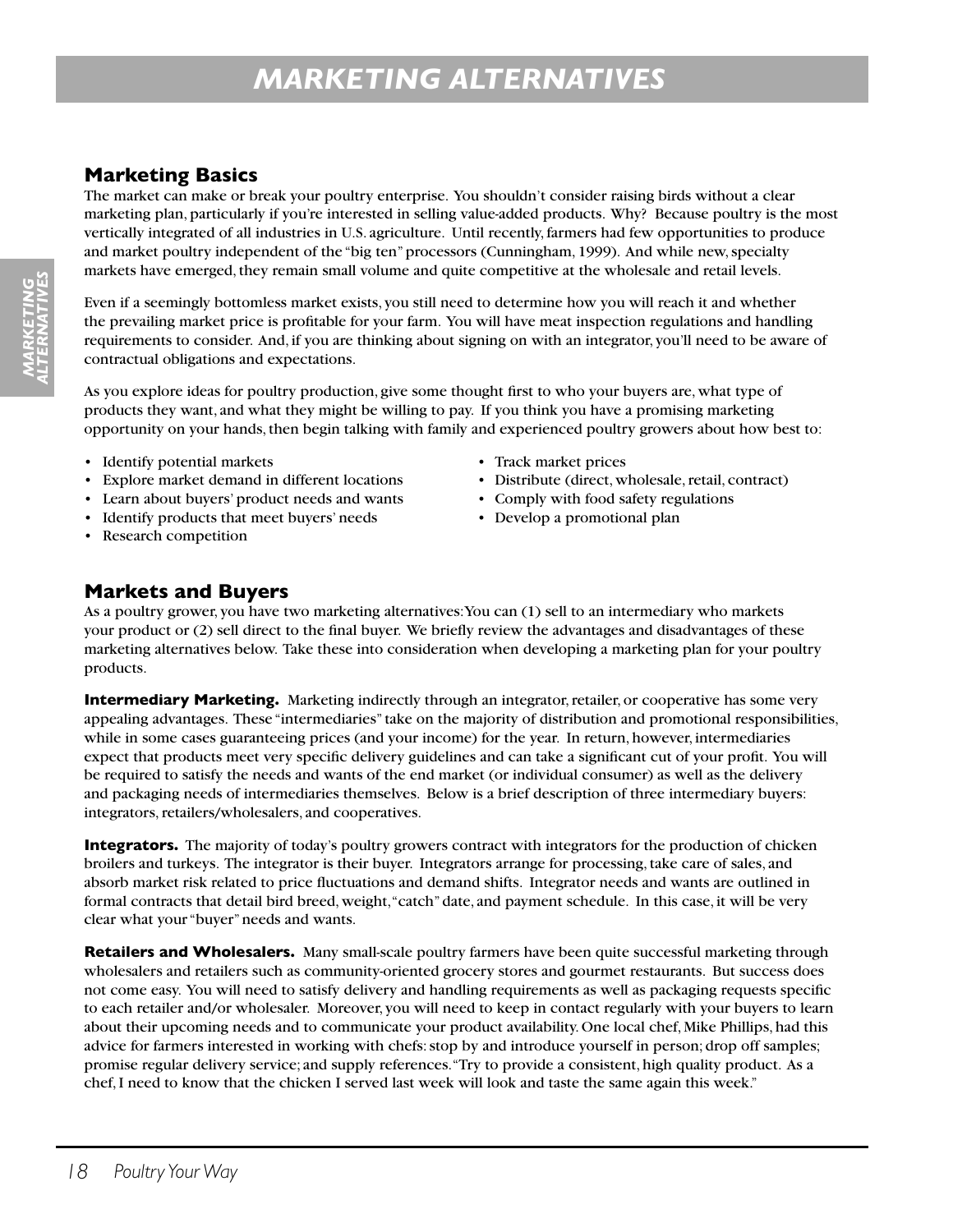## **Marketing Basics**

The market can make or break your poultry enterprise. You shouldn't consider raising birds without a clear marketing plan, particularly if you're interested in selling value-added products. Why? Because poultry is the most vertically integrated of all industries in U.S. agriculture. Until recently, farmers had few opportunities to produce and market poultry independent of the "big ten" processors (Cunningham, 1999). And while new, specialty markets have emerged, they remain small volume and quite competitive at the wholesale and retail levels.

Even if a seemingly bottomless market exists, you still need to determine how you will reach it and whether the prevailing market price is profitable for your farm. You will have meat inspection regulations and handling requirements to consider. And, if you are thinking about signing on with an integrator, you'll need to be aware of contractual obligations and expectations.

As you explore ideas for poultry production, give some thought first to who your buyers are, what type of products they want, and what they might be willing to pay. If you think you have a promising marketing opportunity on your hands, then begin talking with family and experienced poultry growers about how best to:

- Identify potential markets Track market prices
- Explore market demand in different locations Distribute (direct, wholesale, retail, contract)
- Learn about buyers' product needs and wants Comply with food safety regulations
- Identify products that meet buyers' needs Develop a promotional plan
- Research competition
- 
- 
- 
- 

## **Markets and Buyers**

As a poultry grower, you have two marketing alternatives: You can (1) sell to an intermediary who markets your product or (2) sell direct to the final buyer. We briefly review the advantages and disadvantages of these marketing alternatives below. Take these into consideration when developing a marketing plan for your poultry products.

**Intermediary Marketing.** Marketing indirectly through an integrator, retailer, or cooperative has some very appealing advantages. These "intermediaries" take on the majority of distribution and promotional responsibilities, while in some cases guaranteeing prices (and your income) for the year. In return, however, intermediaries expect that products meet very specific delivery guidelines and can take a significant cut of your profit. You will be required to satisfy the needs and wants of the end market (or individual consumer) as well as the delivery and packaging needs of intermediaries themselves. Below is a brief description of three intermediary buyers: integrators, retailers/wholesalers, and cooperatives.

**Integrators.** The majority of today's poultry growers contract with integrators for the production of chicken broilers and turkeys. The integrator is their buyer. Integrators arrange for processing, take care of sales, and absorb market risk related to price fluctuations and demand shifts. Integrator needs and wants are outlined in formal contracts that detail bird breed, weight, "catch" date, and payment schedule. In this case, it will be very clear what your "buyer" needs and wants.

**Retailers and Wholesalers.** Many small-scale poultry farmers have been quite successful marketing through wholesalers and retailers such as community-oriented grocery stores and gourmet restaurants. But success does not come easy. You will need to satisfy delivery and handling requirements as well as packaging requests specific to each retailer and/or wholesaler. Moreover, you will need to keep in contact regularly with your buyers to learn about their upcoming needs and to communicate your product availability. One local chef, Mike Phillips, had this advice for farmers interested in working with chefs: stop by and introduce yourself in person; drop off samples; promise regular delivery service; and supply references. "Try to provide a consistent, high quality product. As a chef, I need to know that the chicken I served last week will look and taste the same again this week."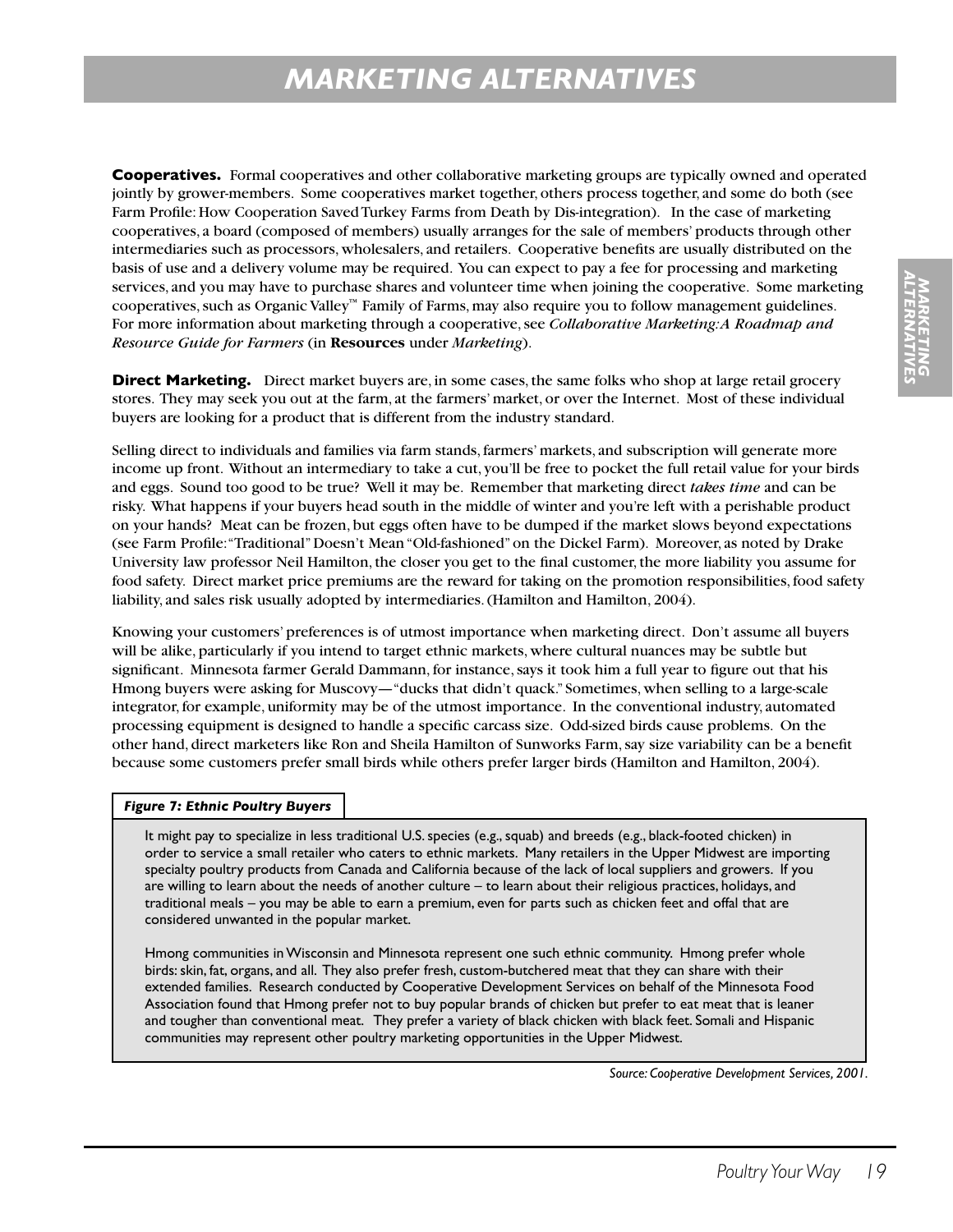**Cooperatives.** Formal cooperatives and other collaborative marketing groups are typically owned and operated jointly by grower-members. Some cooperatives market together, others process together, and some do both (see Farm Profile: How Cooperation Saved Turkey Farms from Death by Dis-integration). In the case of marketing cooperatives, a board (composed of members) usually arranges for the sale of members' products through other intermediaries such as processors, wholesalers, and retailers. Cooperative benefits are usually distributed on the basis of use and a delivery volume may be required. You can expect to pay a fee for processing and marketing services, and you may have to purchase shares and volunteer time when joining the cooperative. Some marketing cooperatives, such as Organic Valley™ Family of Farms, may also require you to follow management guidelines. For more information about marketing through a cooperative, see *Collaborative Marketing: A Roadmap and Resource Guide for Farmers* (in **Resources** under *Marketing*).

**Direct Marketing.** Direct market buyers are, in some cases, the same folks who shop at large retail grocery stores. They may seek you out at the farm, at the farmers' market, or over the Internet. Most of these individual buyers are looking for a product that is different from the industry standard.

Selling direct to individuals and families via farm stands, farmers' markets, and subscription will generate more income up front. Without an intermediary to take a cut, you'll be free to pocket the full retail value for your birds and eggs. Sound too good to be true? Well it may be. Remember that marketing direct *takes time* and can be risky. What happens if your buyers head south in the middle of winter and you're left with a perishable product on your hands? Meat can be frozen, but eggs often have to be dumped if the market slows beyond expectations (see Farm Profile: "Traditional" Doesn't Mean "Old-fashioned" on the Dickel Farm). Moreover, as noted by Drake University law professor Neil Hamilton, the closer you get to the final customer, the more liability you assume for food safety. Direct market price premiums are the reward for taking on the promotion responsibilities, food safety liability, and sales risk usually adopted by intermediaries. (Hamilton and Hamilton, 2004).

Knowing your customers' preferences is of utmost importance when marketing direct. Don't assume all buyers will be alike, particularly if you intend to target ethnic markets, where cultural nuances may be subtle but significant. Minnesota farmer Gerald Dammann, for instance, says it took him a full year to figure out that his Hmong buyers were asking for Muscovy—"ducks that didn't quack." Sometimes, when selling to a large-scale integrator, for example, uniformity may be of the utmost importance. In the conventional industry, automated processing equipment is designed to handle a specific carcass size. Odd-sized birds cause problems. On the other hand, direct marketers like Ron and Sheila Hamilton of Sunworks Farm, say size variability can be a benefit because some customers prefer small birds while others prefer larger birds (Hamilton and Hamilton, 2004).

#### *Figure 7: Ethnic Poultry Buyers*

It might pay to specialize in less traditional U.S. species (e.g., squab) and breeds (e.g., black-footed chicken) in order to service a small retailer who caters to ethnic markets. Many retailers in the Upper Midwest are importing specialty poultry products from Canada and California because of the lack of local suppliers and growers. If you are willing to learn about the needs of another culture – to learn about their religious practices, holidays, and traditional meals – you may be able to earn a premium, even for parts such as chicken feet and offal that are considered unwanted in the popular market.

Hmong communities in Wisconsin and Minnesota represent one such ethnic community. Hmong prefer whole birds: skin, fat, organs, and all. They also prefer fresh, custom-butchered meat that they can share with their extended families. Research conducted by Cooperative Development Services on behalf of the Minnesota Food Association found that Hmong prefer not to buy popular brands of chicken but prefer to eat meat that is leaner and tougher than conventional meat. They prefer a variety of black chicken with black feet. Somali and Hispanic communities may represent other poultry marketing opportunities in the Upper Midwest.

*Source: Cooperative Development Services, 2001.*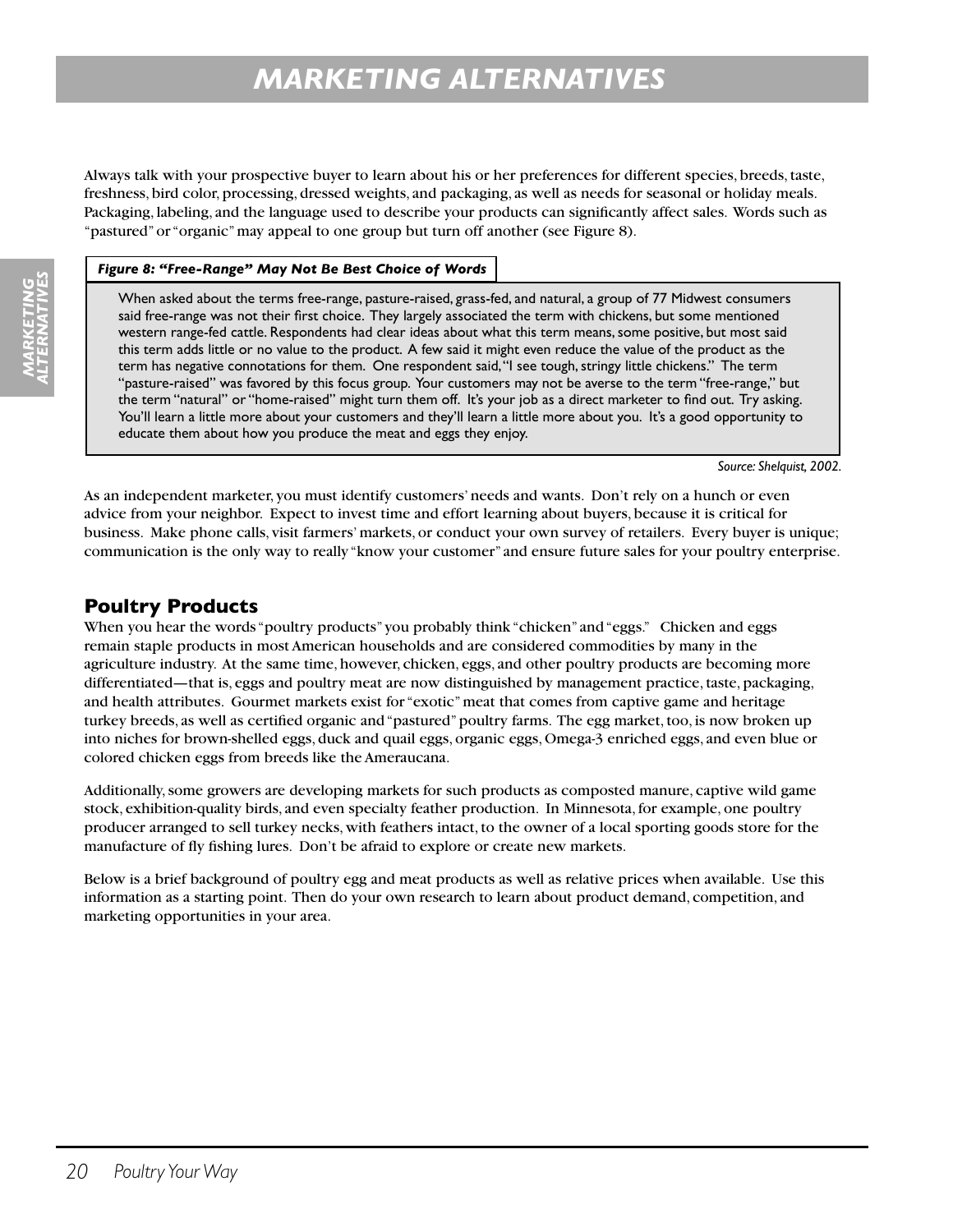Always talk with your prospective buyer to learn about his or her preferences for different species, breeds, taste, freshness, bird color, processing, dressed weights, and packaging, as well as needs for seasonal or holiday meals. Packaging, labeling, and the language used to describe your products can significantly affect sales. Words such as "pastured" or "organic" may appeal to one group but turn off another (see Figure 8).

#### *Figure 8: "Free-Range" May Not Be Best Choice of Words*

When asked about the terms free-range, pasture-raised, grass-fed, and natural, a group of 77 Midwest consumers said free-range was not their first choice. They largely associated the term with chickens, but some mentioned western range-fed cattle. Respondents had clear ideas about what this term means, some positive, but most said this term adds little or no value to the product. A few said it might even reduce the value of the product as the term has negative connotations for them. One respondent said, "I see tough, stringy little chickens." The term "pasture-raised" was favored by this focus group. Your customers may not be averse to the term "free-range," but the term "natural" or "home-raised" might turn them off. It's your job as a direct marketer to find out. Try asking. You'll learn a little more about your customers and they'll learn a little more about you. It's a good opportunity to educate them about how you produce the meat and eggs they enjoy.

*Source: Shelquist, 2002.*

As an independent marketer, you must identify customers' needs and wants. Don't rely on a hunch or even advice from your neighbor. Expect to invest time and effort learning about buyers, because it is critical for business. Make phone calls, visit farmers' markets, or conduct your own survey of retailers. Every buyer is unique; communication is the only way to really "know your customer" and ensure future sales for your poultry enterprise.

### **Poultry Products**

When you hear the words "poultry products" you probably think "chicken" and "eggs." Chicken and eggs remain staple products in most American households and are considered commodities by many in the agriculture industry. At the same time, however, chicken, eggs, and other poultry products are becoming more differentiated—that is, eggs and poultry meat are now distinguished by management practice, taste, packaging, and health attributes. Gourmet markets exist for "exotic" meat that comes from captive game and heritage turkey breeds, as well as certified organic and "pastured" poultry farms. The egg market, too, is now broken up into niches for brown-shelled eggs, duck and quail eggs, organic eggs, Omega-3 enriched eggs, and even blue or colored chicken eggs from breeds like the Ameraucana.

Additionally, some growers are developing markets for such products as composted manure, captive wild game stock, exhibition-quality birds, and even specialty feather production. In Minnesota, for example, one poultry producer arranged to sell turkey necks, with feathers intact, to the owner of a local sporting goods store for the manufacture of fly fishing lures. Don't be afraid to explore or create new markets.

Below is a brief background of poultry egg and meat products as well as relative prices when available. Use this information as a starting point. Then do your own research to learn about product demand, competition, and marketing opportunities in your area.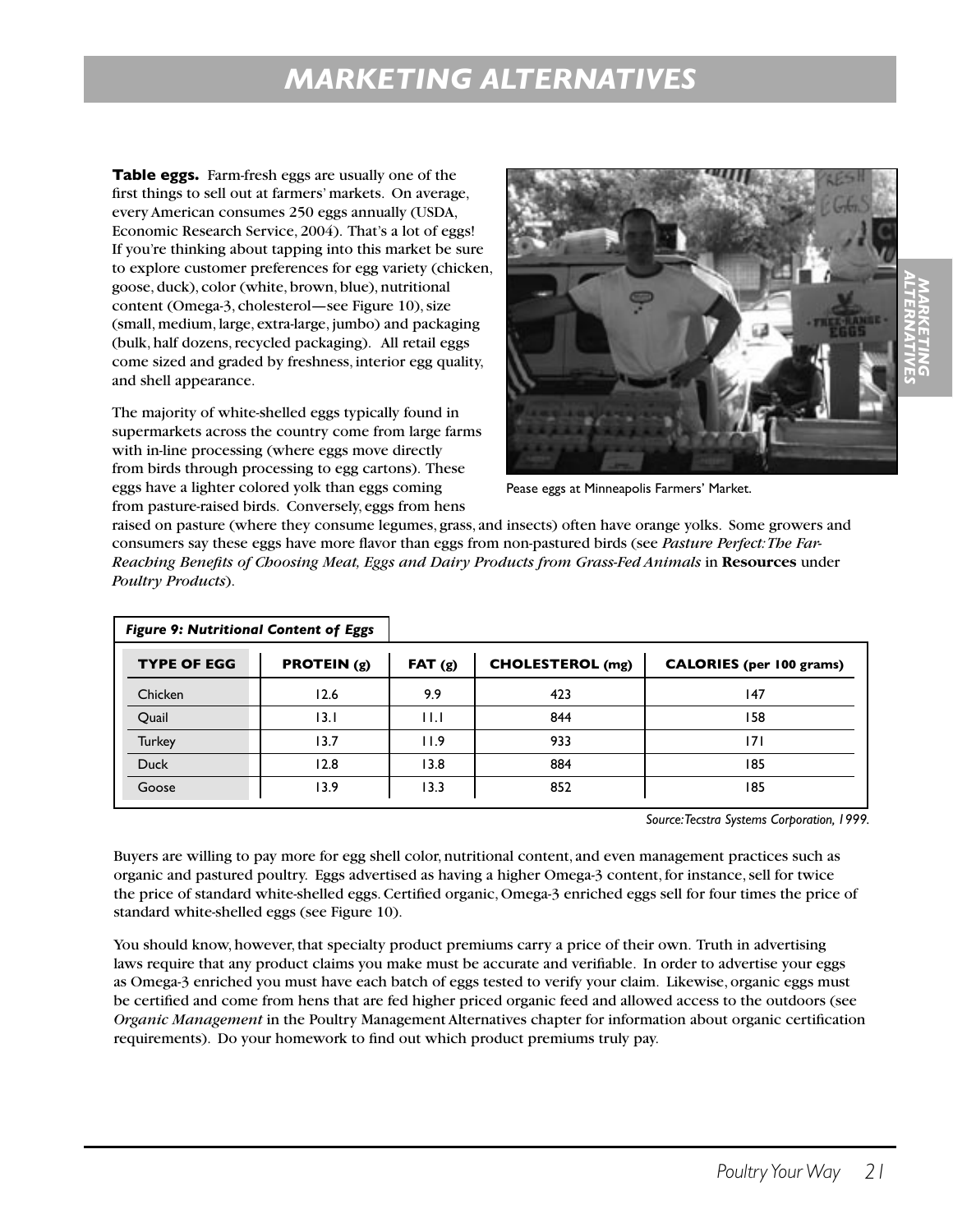**Table eggs.** Farm-fresh eggs are usually one of the first things to sell out at farmers' markets. On average, every American consumes 250 eggs annually (USDA, Economic Research Service, 2004). That's a lot of eggs! If you're thinking about tapping into this market be sure to explore customer preferences for egg variety (chicken, goose, duck), color (white, brown, blue), nutritional content (Omega-3, cholesterol—see Figure 10), size (small, medium, large, extra-large, jumbo) and packaging (bulk, half dozens, recycled packaging). All retail eggs come sized and graded by freshness, interior egg quality, and shell appearance.

The majority of white-shelled eggs typically found in supermarkets across the country come from large farms with in-line processing (where eggs move directly from birds through processing to egg cartons). These eggs have a lighter colored yolk than eggs coming from pasture-raised birds. Conversely, eggs from hens



Pease eggs at Minneapolis Farmers' Market.

raised on pasture (where they consume legumes, grass, and insects) often have orange yolks. Some growers and consumers say these eggs have more flavor than eggs from non-pastured birds (see *Pasture Perfect: The Far-Reaching Benefits of Choosing Meat, Eggs and Dairy Products from Grass-Fed Animals* in **Resources** under *Poultry Products*).

| <b>Figure 9: Nutritional Content of Eggs</b> |                      |             |                         |                                 |
|----------------------------------------------|----------------------|-------------|-------------------------|---------------------------------|
| <b>TYPE OF EGG</b>                           | <b>PROTEIN</b> $(g)$ | FAT(g)      | <b>CHOLESTEROL</b> (mg) | <b>CALORIES</b> (per 100 grams) |
| Chicken                                      | 12.6                 | 9.9         | 423                     | 147                             |
| Quail                                        | 13. I                | $  \cdot  $ | 844                     | 158                             |
| <b>Turkey</b>                                | 13.7                 | 11.9        | 933                     | 171                             |
| <b>Duck</b>                                  | 12.8                 | 13.8        | 884                     | 185                             |
| Goose                                        | 13.9                 | 13.3        | 852                     | 185                             |

*Source: Tecstra Systems Corporation, 1999.*

Buyers are willing to pay more for egg shell color, nutritional content, and even management practices such as organic and pastured poultry. Eggs advertised as having a higher Omega-3 content, for instance, sell for twice the price of standard white-shelled eggs. Certified organic, Omega-3 enriched eggs sell for four times the price of standard white-shelled eggs (see Figure 10).

You should know, however, that specialty product premiums carry a price of their own. Truth in advertising laws require that any product claims you make must be accurate and verifiable. In order to advertise your eggs as Omega-3 enriched you must have each batch of eggs tested to verify your claim. Likewise, organic eggs must be certified and come from hens that are fed higher priced organic feed and allowed access to the outdoors (see *Organic Management* in the Poultry Management Alternatives chapter for information about organic certification requirements). Do your homework to find out which product premiums truly pay.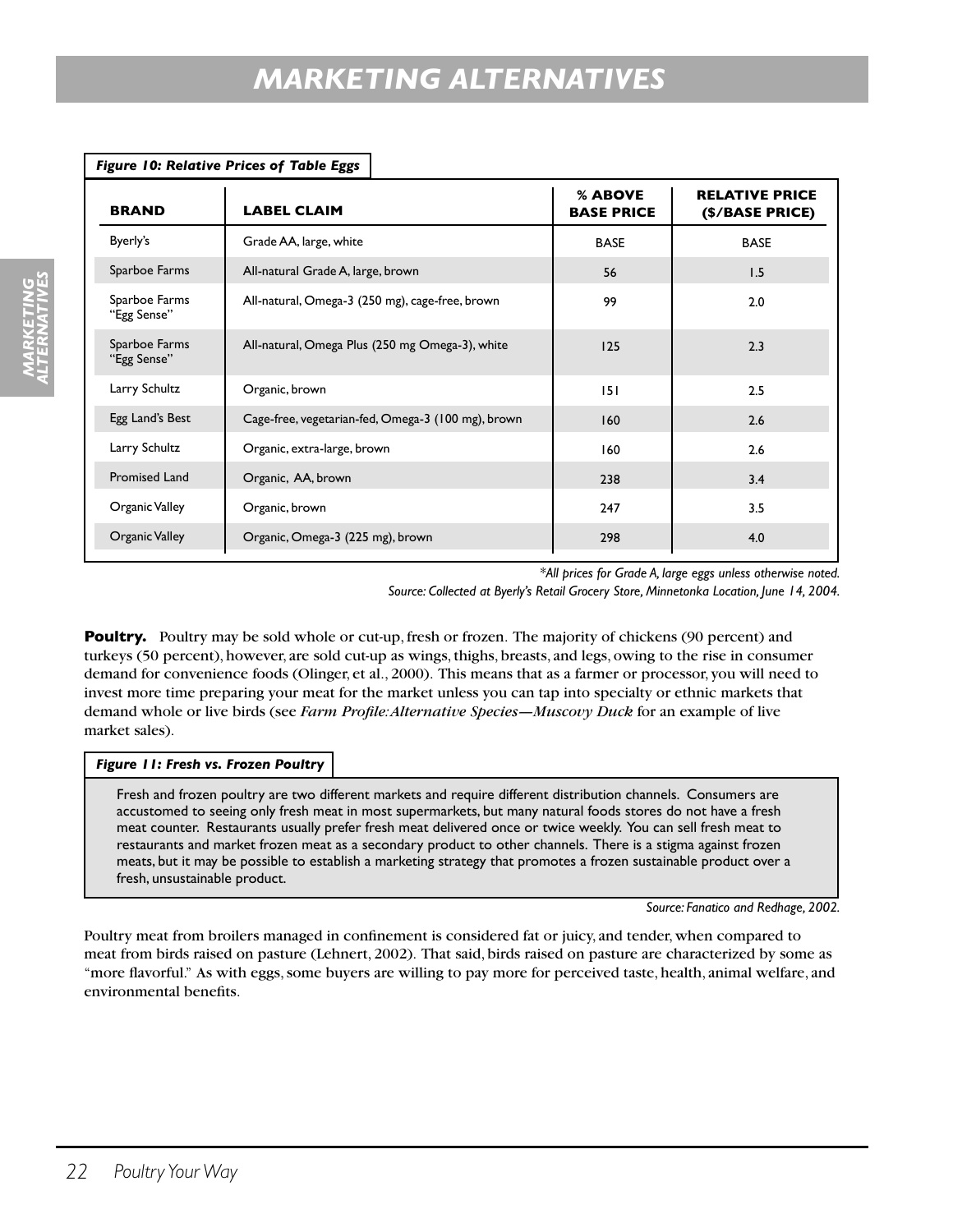| Figure 10: Relative Prices of Table Eggs |                                                    |                              |                                          |  |
|------------------------------------------|----------------------------------------------------|------------------------------|------------------------------------------|--|
| <b>BRAND</b>                             | <b>LABEL CLAIM</b>                                 | % ABOVE<br><b>BASE PRICE</b> | <b>RELATIVE PRICE</b><br>(\$/BASE PRICE) |  |
| Byerly's                                 | Grade AA, large, white                             | <b>BASE</b>                  | <b>BASE</b>                              |  |
| Sparboe Farms                            | All-natural Grade A, large, brown                  | 56                           | 1.5                                      |  |
| Sparboe Farms<br>"Egg Sense"             | All-natural, Omega-3 (250 mg), cage-free, brown    | 99                           | 2.0                                      |  |
| Sparboe Farms<br>"Egg Sense"             | All-natural, Omega Plus (250 mg Omega-3), white    | 125                          | 2.3                                      |  |
| Larry Schultz                            | Organic, brown                                     | 151                          | 2.5                                      |  |
| Egg Land's Best                          | Cage-free, vegetarian-fed, Omega-3 (100 mg), brown | 160                          | 2.6                                      |  |
| Larry Schultz                            | Organic, extra-large, brown                        | 160                          | 2.6                                      |  |
| <b>Promised Land</b>                     | Organic, AA, brown                                 | 238                          | 3.4                                      |  |
| Organic Valley                           | Organic, brown                                     | 247                          | 3.5                                      |  |
| Organic Valley                           | Organic, Omega-3 (225 mg), brown                   | 298                          | 4.0                                      |  |
|                                          |                                                    |                              |                                          |  |

*\*All prices for Grade A, large eggs unless otherwise noted. Source: Collected at Byerly's Retail Grocery Store, Minnetonka Location, June 14, 2004.*

**Poultry.** Poultry may be sold whole or cut-up, fresh or frozen. The majority of chickens (90 percent) and turkeys (50 percent), however, are sold cut-up as wings, thighs, breasts, and legs, owing to the rise in consumer demand for convenience foods (Olinger, et al., 2000). This means that as a farmer or processor, you will need to invest more time preparing your meat for the market unless you can tap into specialty or ethnic markets that demand whole or live birds (see *Farm Profile: Alternative Species—Muscovy Duck* for an example of live market sales).

#### *Figure 11: Fresh vs. Frozen Poultry*

Fresh and frozen poultry are two different markets and require different distribution channels. Consumers are accustomed to seeing only fresh meat in most supermarkets, but many natural foods stores do not have a fresh meat counter. Restaurants usually prefer fresh meat delivered once or twice weekly. You can sell fresh meat to restaurants and market frozen meat as a secondary product to other channels. There is a stigma against frozen meats, but it may be possible to establish a marketing strategy that promotes a frozen sustainable product over a fresh, unsustainable product.

*Source: Fanatico and Redhage, 2002.*

Poultry meat from broilers managed in confinement is considered fat or juicy, and tender, when compared to meat from birds raised on pasture (Lehnert, 2002). That said, birds raised on pasture are characterized by some as "more flavorful." As with eggs, some buyers are willing to pay more for perceived taste, health, animal welfare, and environmental benefits.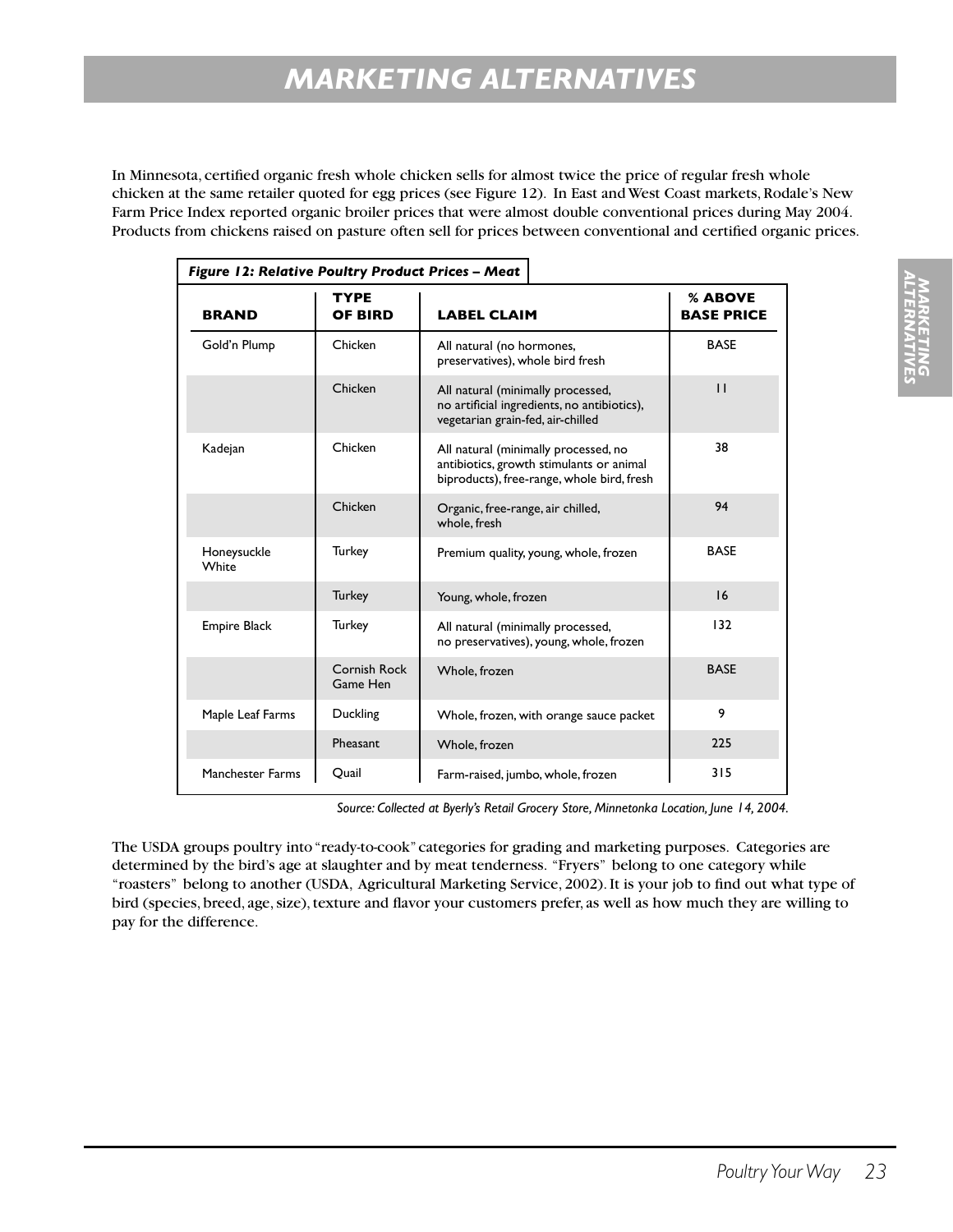In Minnesota, certified organic fresh whole chicken sells for almost twice the price of regular fresh whole chicken at the same retailer quoted for egg prices (see Figure 12). In East and West Coast markets, Rodale's New Farm Price Index reported organic broiler prices that were almost double conventional prices during May 2004. Products from chickens raised on pasture often sell for prices between conventional and certified organic prices.

| Figure 12: Relative Poultry Product Prices - Meat |                          |                                                                                                                                |                              |
|---------------------------------------------------|--------------------------|--------------------------------------------------------------------------------------------------------------------------------|------------------------------|
| <b>BRAND</b>                                      | <b>TYPE</b><br>OF BIRD   | <b>LABEL CLAIM</b>                                                                                                             | % ABOVE<br><b>BASE PRICE</b> |
| Gold'n Plump                                      | Chicken                  | All natural (no hormones,<br>preservatives), whole bird fresh                                                                  | <b>BASE</b>                  |
|                                                   | Chicken                  | All natural (minimally processed,<br>no artificial ingredients, no antibiotics),<br>vegetarian grain-fed, air-chilled          | $\mathbf{H}$                 |
| Kadejan                                           | Chicken                  | All natural (minimally processed, no<br>antibiotics, growth stimulants or animal<br>biproducts), free-range, whole bird, fresh | 38                           |
|                                                   | Chicken                  | Organic, free-range, air chilled,<br>whole, fresh                                                                              | 94                           |
| Honeysuckle<br>White                              | <b>Turkey</b>            | Premium quality, young, whole, frozen                                                                                          | <b>BASE</b>                  |
|                                                   | <b>Turkey</b>            | Young, whole, frozen                                                                                                           | 16                           |
| <b>Empire Black</b>                               | <b>Turkey</b>            | All natural (minimally processed,<br>no preservatives), young, whole, frozen                                                   | 132                          |
|                                                   | Cornish Rock<br>Game Hen | Whole, frozen                                                                                                                  | <b>BASE</b>                  |
| Maple Leaf Farms                                  | Duckling                 | Whole, frozen, with orange sauce packet                                                                                        | 9                            |
|                                                   | Pheasant                 | Whole, frozen                                                                                                                  | 225                          |
| <b>Manchester Farms</b>                           | Quail                    | Farm-raised, jumbo, whole, frozen                                                                                              | 315                          |

*Source: Collected at Byerly's Retail Grocery Store, Minnetonka Location, June 14, 2004.*

The USDA groups poultry into "ready-to-cook" categories for grading and marketing purposes. Categories are determined by the bird's age at slaughter and by meat tenderness. "Fryers" belong to one category while "roasters" belong to another (USDA, Agricultural Marketing Service, 2002). It is your job to find out what type of bird (species, breed, age, size), texture and flavor your customers prefer, as well as how much they are willing to pay for the difference.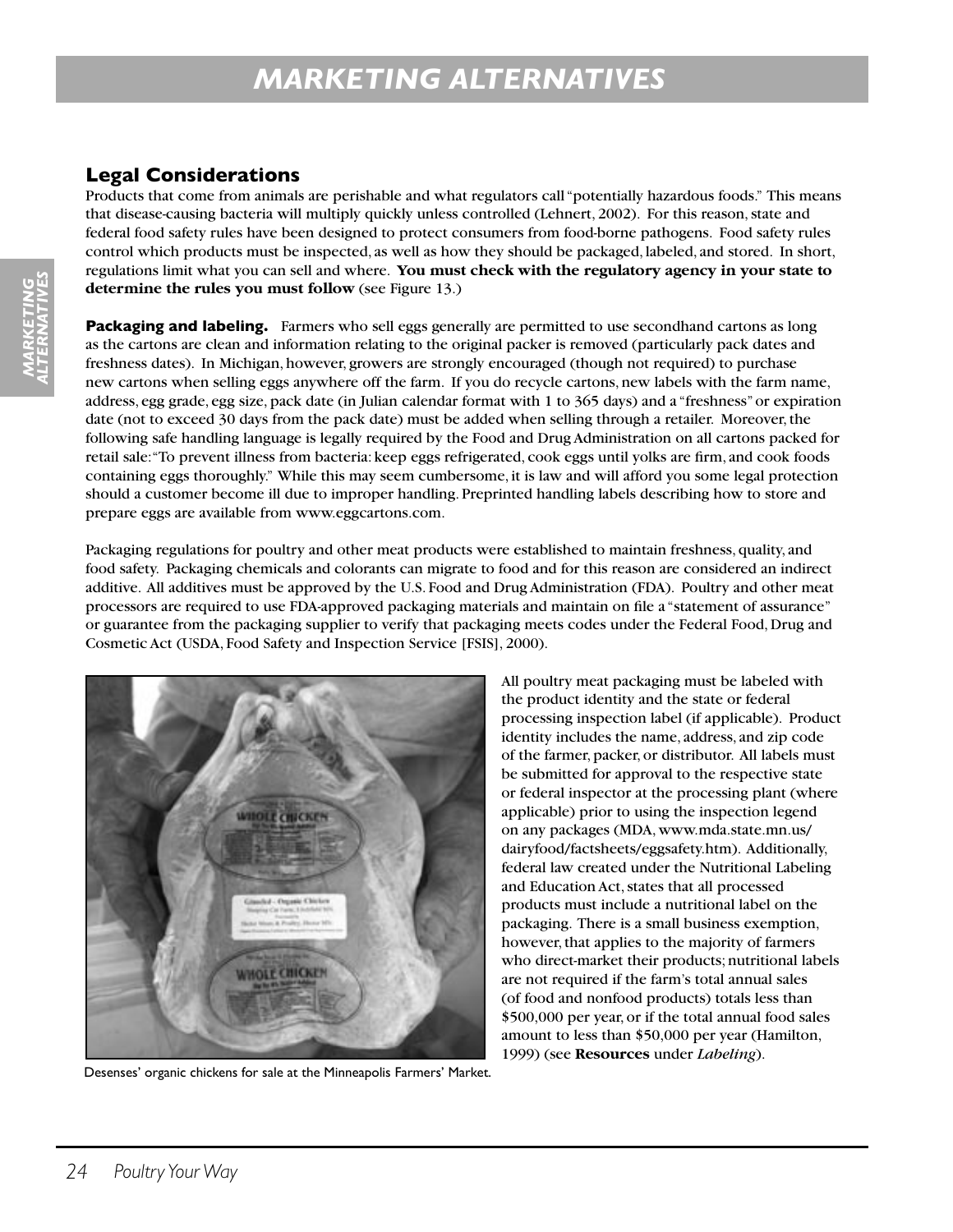## **Legal Considerations**

Products that come from animals are perishable and what regulators call "potentially hazardous foods." This means that disease-causing bacteria will multiply quickly unless controlled (Lehnert, 2002). For this reason, state and federal food safety rules have been designed to protect consumers from food-borne pathogens. Food safety rules control which products must be inspected, as well as how they should be packaged, labeled, and stored. In short, regulations limit what you can sell and where. **You must check with the regulatory agency in your state to determine the rules you must follow** (see Figure 13.)

**Packaging and labeling.** Farmers who sell eggs generally are permitted to use secondhand cartons as long as the cartons are clean and information relating to the original packer is removed (particularly pack dates and freshness dates). In Michigan, however, growers are strongly encouraged (though not required) to purchase new cartons when selling eggs anywhere off the farm. If you do recycle cartons, new labels with the farm name, address, egg grade, egg size, pack date (in Julian calendar format with 1 to 365 days) and a "freshness" or expiration date (not to exceed 30 days from the pack date) must be added when selling through a retailer. Moreover, the following safe handling language is legally required by the Food and Drug Administration on all cartons packed for retail sale: "To prevent illness from bacteria: keep eggs refrigerated, cook eggs until yolks are firm, and cook foods containing eggs thoroughly." While this may seem cumbersome, it is law and will afford you some legal protection should a customer become ill due to improper handling. Preprinted handling labels describing how to store and prepare eggs are available from www.eggcartons.com.

Packaging regulations for poultry and other meat products were established to maintain freshness, quality, and food safety. Packaging chemicals and colorants can migrate to food and for this reason are considered an indirect additive. All additives must be approved by the U.S. Food and Drug Administration (FDA). Poultry and other meat processors are required to use FDA-approved packaging materials and maintain on file a "statement of assurance" or guarantee from the packaging supplier to verify that packaging meets codes under the Federal Food, Drug and Cosmetic Act (USDA, Food Safety and Inspection Service [FSIS], 2000).



Desenses' organic chickens for sale at the Minneapolis Farmers' Market.

All poultry meat packaging must be labeled with the product identity and the state or federal processing inspection label (if applicable). Product identity includes the name, address, and zip code of the farmer, packer, or distributor. All labels must be submitted for approval to the respective state or federal inspector at the processing plant (where applicable) prior to using the inspection legend on any packages (MDA, www.mda.state.mn.us/ dairyfood/factsheets/eggsafety.htm). Additionally, federal law created under the Nutritional Labeling and Education Act, states that all processed products must include a nutritional label on the packaging. There is a small business exemption, however, that applies to the majority of farmers who direct-market their products; nutritional labels are not required if the farm's total annual sales (of food and nonfood products) totals less than \$500,000 per year, or if the total annual food sales amount to less than \$50,000 per year (Hamilton, 1999) (see **Resources** under *Labeling*).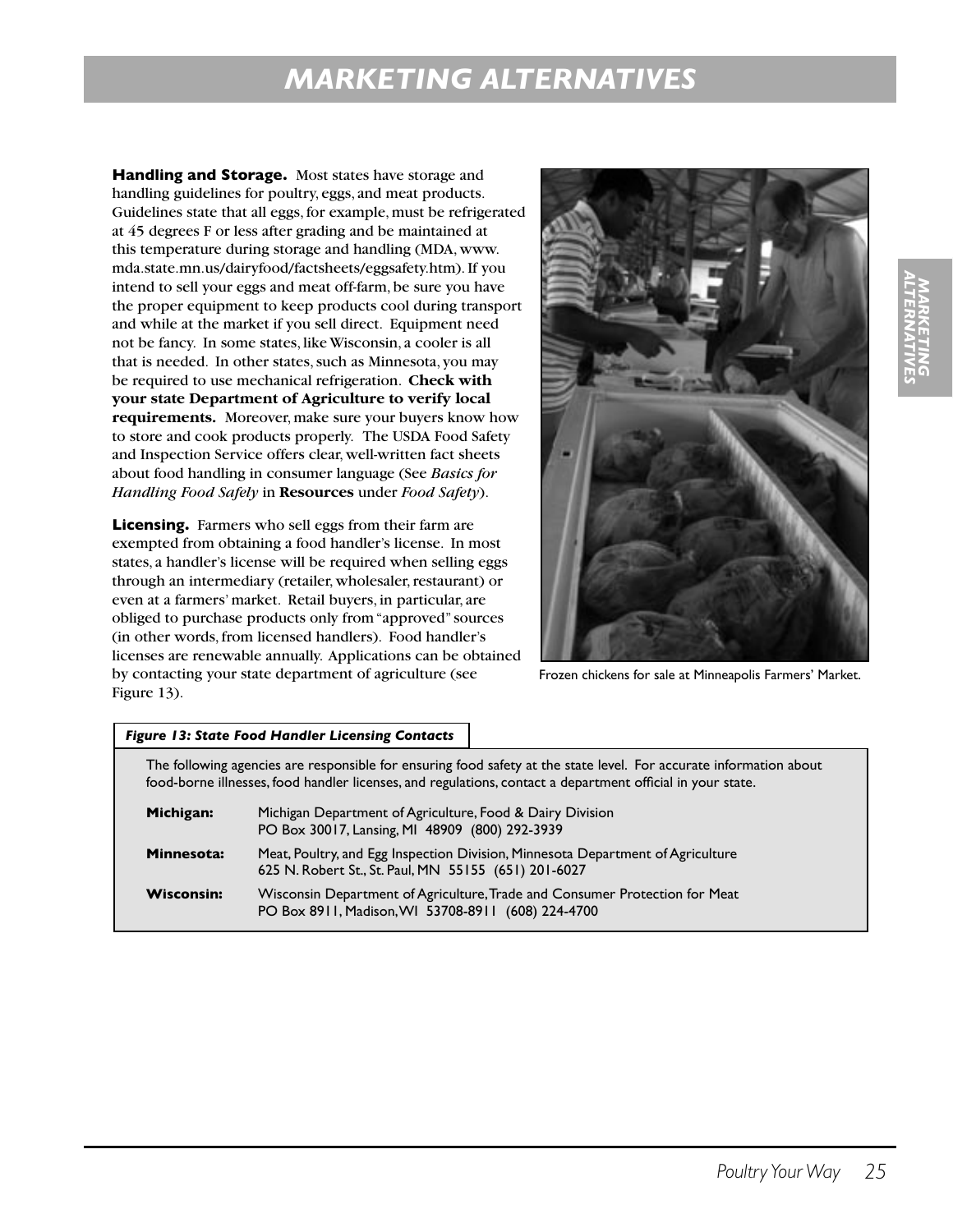**Handling and Storage.** Most states have storage and handling guidelines for poultry, eggs, and meat products. Guidelines state that all eggs, for example, must be refrigerated at 45 degrees F or less after grading and be maintained at this temperature during storage and handling (MDA, www. mda.state.mn.us/dairyfood/factsheets/eggsafety.htm). If you intend to sell your eggs and meat off-farm, be sure you have the proper equipment to keep products cool during transport and while at the market if you sell direct. Equipment need not be fancy. In some states, like Wisconsin, a cooler is all that is needed. In other states, such as Minnesota, you may be required to use mechanical refrigeration. **Check with your state Department of Agriculture to verify local requirements.** Moreover, make sure your buyers know how to store and cook products properly. The USDA Food Safety and Inspection Service offers clear, well-written fact sheets about food handling in consumer language (See *Basics for Handling Food Safely* in **Resources** under *Food Safety*).

**Licensing.** Farmers who sell eggs from their farm are exempted from obtaining a food handler's license. In most states, a handler's license will be required when selling eggs through an intermediary (retailer, wholesaler, restaurant) or even at a farmers' market. Retail buyers, in particular, are obliged to purchase products only from "approved" sources (in other words, from licensed handlers). Food handler's licenses are renewable annually. Applications can be obtained by contacting your state department of agriculture (see Figure 13).



Frozen chickens for sale at Minneapolis Farmers' Market.

|                   | <b>Figure 13: State Food Handler Licensing Contacts</b>                                                                                                                                                                          |
|-------------------|----------------------------------------------------------------------------------------------------------------------------------------------------------------------------------------------------------------------------------|
|                   | The following agencies are responsible for ensuring food safety at the state level. For accurate information about<br>food-borne illnesses, food handler licenses, and regulations, contact a department official in your state. |
| Michigan:         | Michigan Department of Agriculture, Food & Dairy Division<br>PO Box 30017, Lansing, MI 48909 (800) 292-3939                                                                                                                      |
| Minnesota:        | Meat, Poultry, and Egg Inspection Division, Minnesota Department of Agriculture<br>625 N. Robert St., St. Paul, MN 55155 (651) 201-6027                                                                                          |
| <b>Wisconsin:</b> | Wisconsin Department of Agriculture, Trade and Consumer Protection for Meat<br>PO Box 8911, Madison, WI 53708-8911 (608) 224-4700                                                                                                |

# *MARKETING ALTERNATIVES*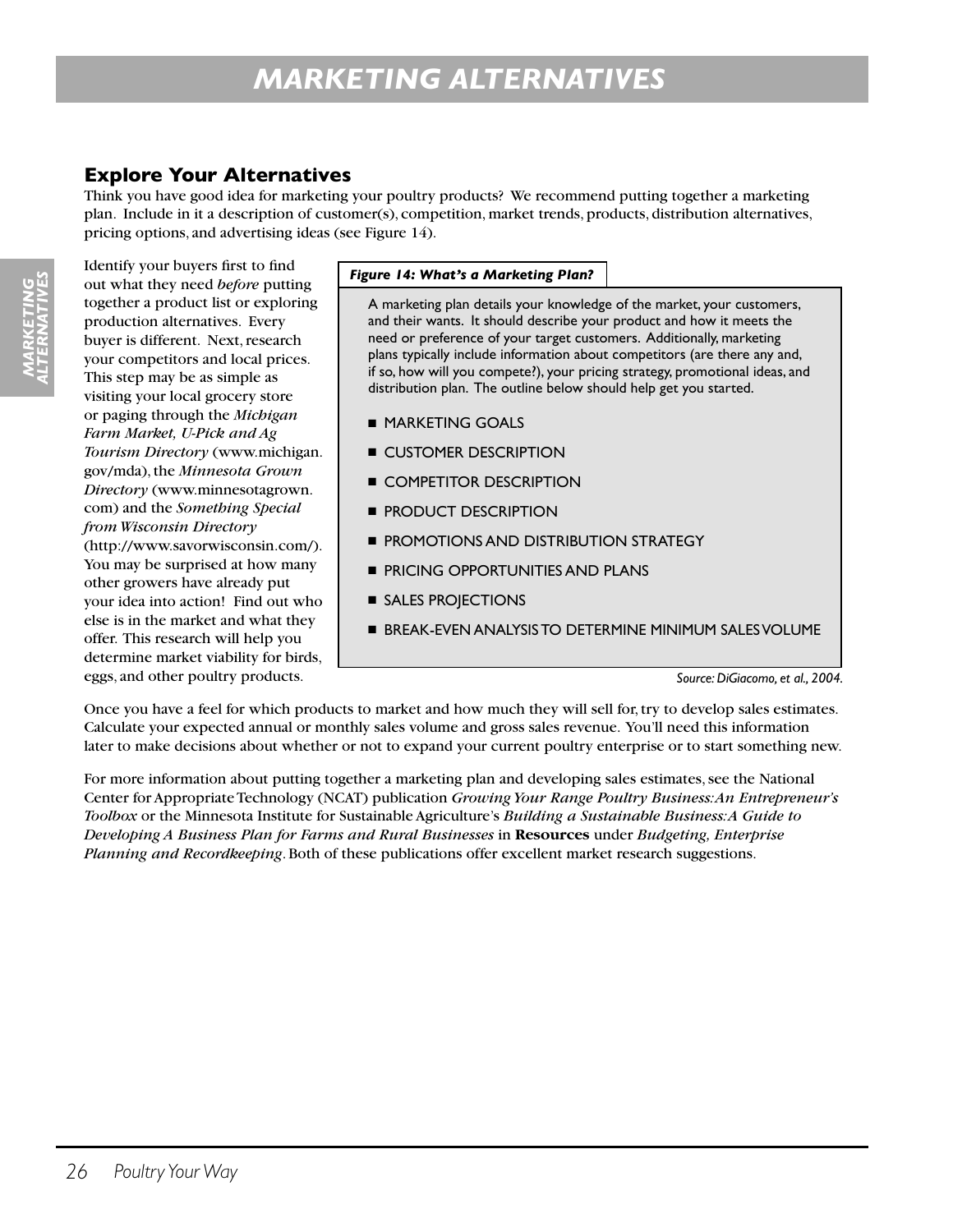## **Explore Your Alternatives**

Think you have good idea for marketing your poultry products? We recommend putting together a marketing plan. Include in it a description of customer(s), competition, market trends, products, distribution alternatives, pricing options, and advertising ideas (see Figure 14).

Identify your buyers first to find out what they need *before* putting together a product list or exploring production alternatives. Every buyer is different. Next, research your competitors and local prices. This step may be as simple as visiting your local grocery store or paging through the *Michigan Farm Market, U-Pick and Ag Tourism Directory* (www.michigan. gov/mda), the *Minnesota Grown Directory* (www.minnesotagrown. com) and the *Something Special from Wisconsin Directory* (http://www.savorwisconsin.com/). You may be surprised at how many other growers have already put your idea into action! Find out who else is in the market and what they offer. This research will help you determine market viability for birds, eggs, and other poultry products.

#### *Figure 14: What's a Marketing Plan?*

A marketing plan details your knowledge of the market, your customers, and their wants. It should describe your product and how it meets the need or preference of your target customers. Additionally, marketing plans typically include information about competitors (are there any and, if so, how will you compete?), your pricing strategy, promotional ideas, and distribution plan. The outline below should help get you started.

- MARKETING GOALS
- **E CUSTOMER DESCRIPTION**
- COMPETITOR DESCRIPTION
- **PRODUCT DESCRIPTION**
- PROMOTIONS AND DISTRIBUTION STRATEGY
- PRICING OPPORTUNITIES AND PLANS
- SALES PROJECTIONS
- BREAK-EVEN ANALYSIS TO DETERMINE MINIMUM SALES VOLUME

*Source: DiGiacomo, et al., 2004.*

Once you have a feel for which products to market and how much they will sell for, try to develop sales estimates. Calculate your expected annual or monthly sales volume and gross sales revenue. You'll need this information later to make decisions about whether or not to expand your current poultry enterprise or to start something new.

For more information about putting together a marketing plan and developing sales estimates, see the National Center for Appropriate Technology (NCAT) publication *Growing Your Range Poultry Business: An Entrepreneur's Toolbox* or the Minnesota Institute for Sustainable Agriculture's *Building a Sustainable Business: A Guide to Developing A Business Plan for Farms and Rural Businesses* in **Resources** under *Budgeting, Enterprise Planning and Recordkeeping*. Both of these publications offer excellent market research suggestions.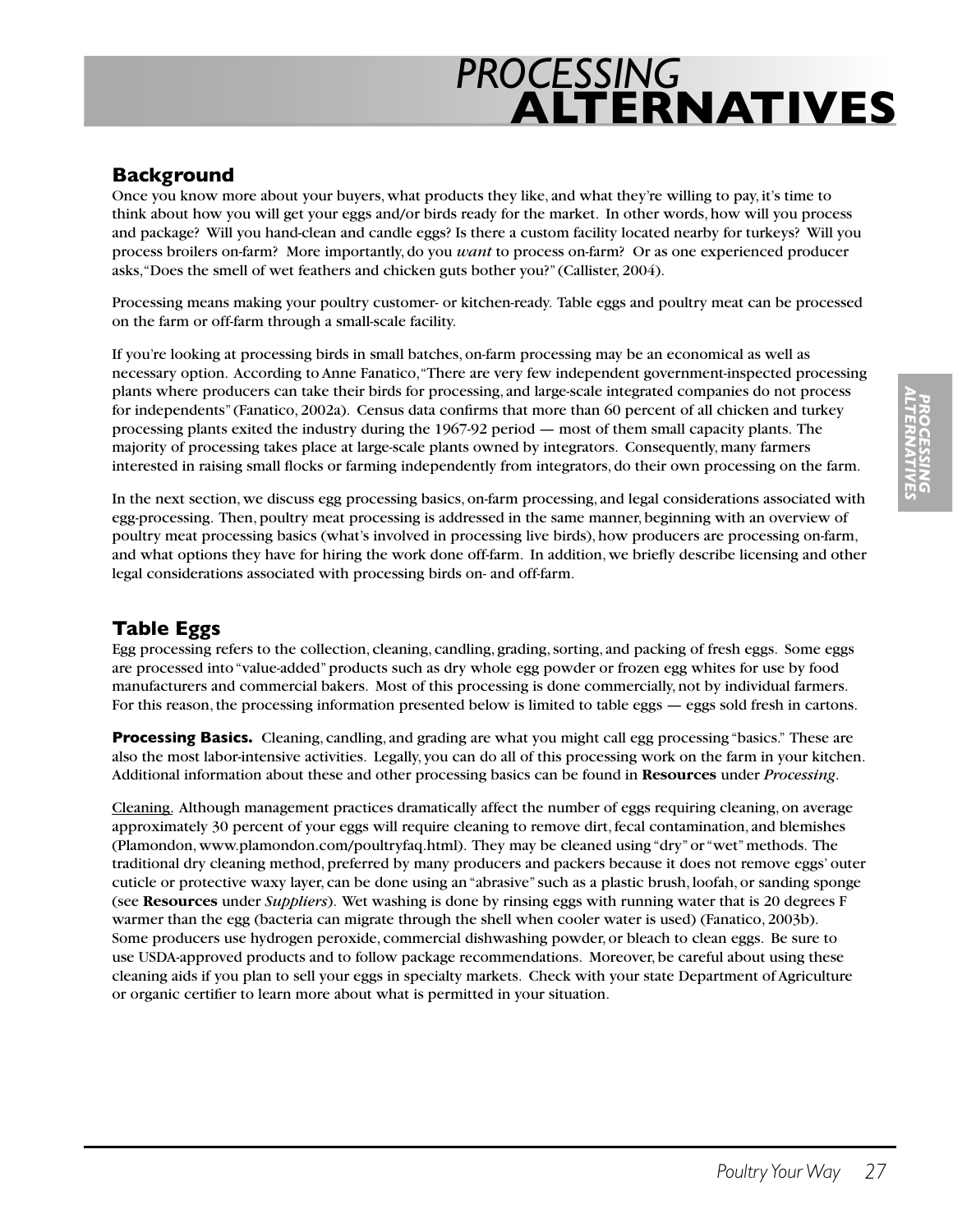## **Background**

Once you know more about your buyers, what products they like, and what they're willing to pay, it's time to think about how you will get your eggs and/or birds ready for the market. In other words, how will you process and package? Will you hand-clean and candle eggs? Is there a custom facility located nearby for turkeys? Will you process broilers on-farm? More importantly, do you *want* to process on-farm? Or as one experienced producer asks, "Does the smell of wet feathers and chicken guts bother you?" (Callister, 2004).

Processing means making your poultry customer- or kitchen-ready. Table eggs and poultry meat can be processed on the farm or off-farm through a small-scale facility.

If you're looking at processing birds in small batches, on-farm processing may be an economical as well as necessary option. According to Anne Fanatico, "There are very few independent government-inspected processing plants where producers can take their birds for processing, and large-scale integrated companies do not process for independents" (Fanatico, 2002a). Census data confirms that more than 60 percent of all chicken and turkey processing plants exited the industry during the 1967-92 period — most of them small capacity plants. The majority of processing takes place at large-scale plants owned by integrators. Consequently, many farmers interested in raising small flocks or farming independently from integrators, do their own processing on the farm.

In the next section, we discuss egg processing basics, on-farm processing, and legal considerations associated with egg-processing. Then, poultry meat processing is addressed in the same manner, beginning with an overview of poultry meat processing basics (what's involved in processing live birds), how producers are processing on-farm, and what options they have for hiring the work done off-farm. In addition, we briefly describe licensing and other legal considerations associated with processing birds on- and off-farm.

## **Table Eggs**

Egg processing refers to the collection, cleaning, candling, grading, sorting, and packing of fresh eggs. Some eggs are processed into "value-added" products such as dry whole egg powder or frozen egg whites for use by food manufacturers and commercial bakers. Most of this processing is done commercially, not by individual farmers. For this reason, the processing information presented below is limited to table eggs — eggs sold fresh in cartons.

**Processing Basics.** Cleaning, candling, and grading are what you might call egg processing "basics." These are also the most labor-intensive activities. Legally, you can do all of this processing work on the farm in your kitchen. Additional information about these and other processing basics can be found in **Resources** under *Processing*.

Cleaning. Although management practices dramatically affect the number of eggs requiring cleaning, on average approximately 30 percent of your eggs will require cleaning to remove dirt, fecal contamination, and blemishes (Plamondon, www.plamondon.com/poultryfaq.html). They may be cleaned using "dry" or "wet" methods. The traditional dry cleaning method, preferred by many producers and packers because it does not remove eggs' outer cuticle or protective waxy layer, can be done using an "abrasive" such as a plastic brush, loofah, or sanding sponge (see **Resources** under *Suppliers*). Wet washing is done by rinsing eggs with running water that is 20 degrees F warmer than the egg (bacteria can migrate through the shell when cooler water is used) (Fanatico, 2003b). Some producers use hydrogen peroxide, commercial dishwashing powder, or bleach to clean eggs. Be sure to use USDA-approved products and to follow package recommendations. Moreover, be careful about using these cleaning aids if you plan to sell your eggs in specialty markets. Check with your state Department of Agriculture or organic certifier to learn more about what is permitted in your situation.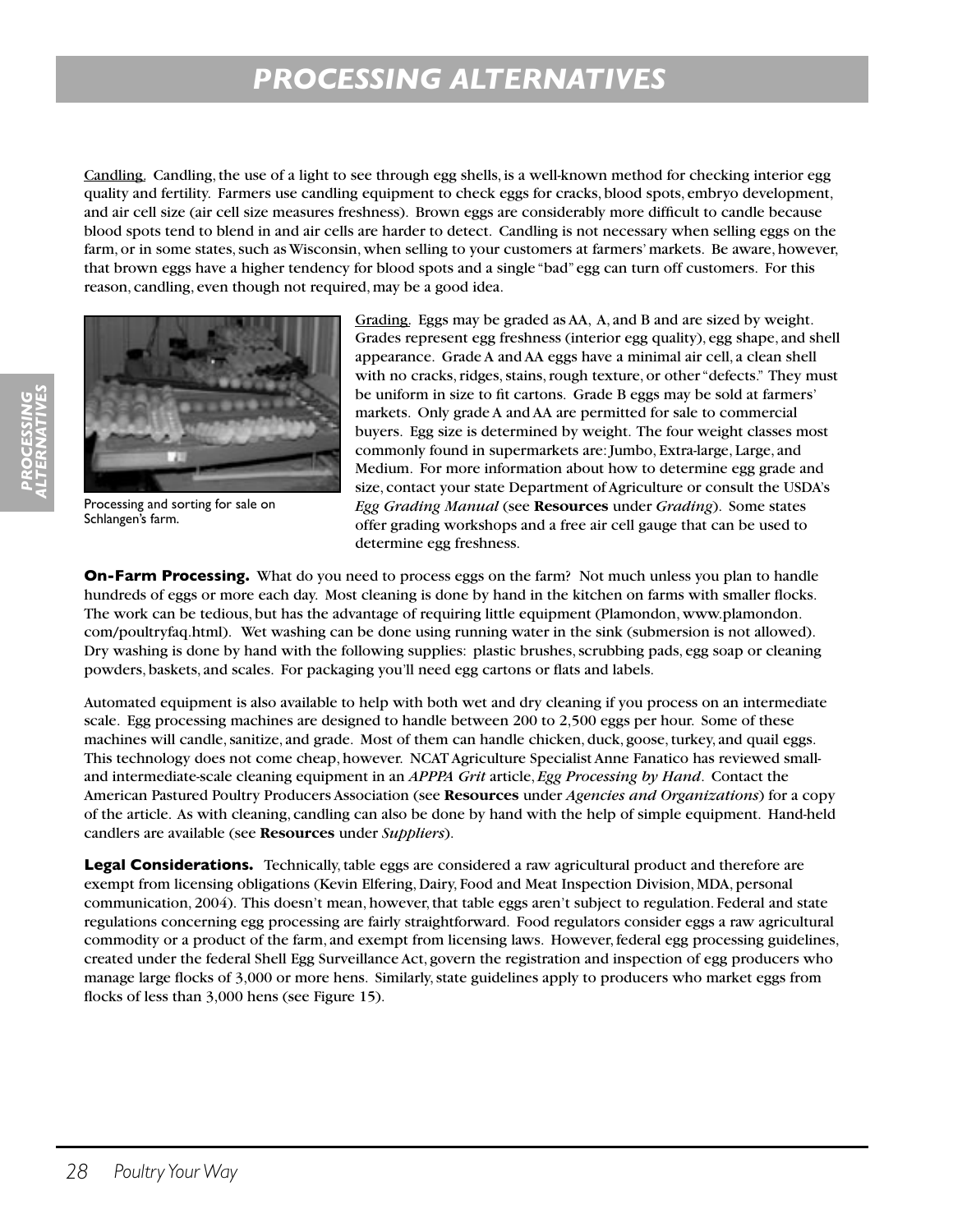Candling. Candling, the use of a light to see through egg shells, is a well-known method for checking interior egg quality and fertility. Farmers use candling equipment to check eggs for cracks, blood spots, embryo development, and air cell size (air cell size measures freshness). Brown eggs are considerably more difficult to candle because blood spots tend to blend in and air cells are harder to detect. Candling is not necessary when selling eggs on the farm, or in some states, such as Wisconsin, when selling to your customers at farmers' markets. Be aware, however, that brown eggs have a higher tendency for blood spots and a single "bad" egg can turn off customers. For this reason, candling, even though not required, may be a good idea.



Processing and sorting for sale on Schlangen's farm.

Grading. Eggs may be graded as AA, A, and B and are sized by weight. Grades represent egg freshness (interior egg quality), egg shape, and shell appearance. Grade A and AA eggs have a minimal air cell, a clean shell with no cracks, ridges, stains, rough texture, or other "defects." They must be uniform in size to fit cartons. Grade B eggs may be sold at farmers' markets. Only grade A and AA are permitted for sale to commercial buyers. Egg size is determined by weight. The four weight classes most commonly found in supermarkets are: Jumbo, Extra-large, Large, and Medium. For more information about how to determine egg grade and size, contact your state Department of Agriculture or consult the USDA's *Egg Grading Manual* (see **Resources** under *Grading*). Some states offer grading workshops and a free air cell gauge that can be used to determine egg freshness.

**On-Farm Processing.** What do you need to process eggs on the farm? Not much unless you plan to handle hundreds of eggs or more each day. Most cleaning is done by hand in the kitchen on farms with smaller flocks. The work can be tedious, but has the advantage of requiring little equipment (Plamondon, www.plamondon. com/poultryfaq.html). Wet washing can be done using running water in the sink (submersion is not allowed). Dry washing is done by hand with the following supplies: plastic brushes, scrubbing pads, egg soap or cleaning powders, baskets, and scales. For packaging you'll need egg cartons or flats and labels.

Automated equipment is also available to help with both wet and dry cleaning if you process on an intermediate scale. Egg processing machines are designed to handle between 200 to 2,500 eggs per hour. Some of these machines will candle, sanitize, and grade. Most of them can handle chicken, duck, goose, turkey, and quail eggs. This technology does not come cheap, however. NCAT Agriculture Specialist Anne Fanatico has reviewed smalland intermediate-scale cleaning equipment in an *APPPA Grit* article, *Egg Processing by Hand*. Contact the American Pastured Poultry Producers Association (see **Resources** under *Agencies and Organizations*) for a copy of the article. As with cleaning, candling can also be done by hand with the help of simple equipment. Hand-held candlers are available (see **Resources** under *Suppliers*).

**Legal Considerations.** Technically, table eggs are considered a raw agricultural product and therefore are exempt from licensing obligations (Kevin Elfering, Dairy, Food and Meat Inspection Division, MDA, personal communication, 2004). This doesn't mean, however, that table eggs aren't subject to regulation. Federal and state regulations concerning egg processing are fairly straightforward. Food regulators consider eggs a raw agricultural commodity or a product of the farm, and exempt from licensing laws. However, federal egg processing guidelines, created under the federal Shell Egg Surveillance Act, govern the registration and inspection of egg producers who manage large flocks of 3,000 or more hens. Similarly, state guidelines apply to producers who market eggs from flocks of less than 3,000 hens (see Figure 15).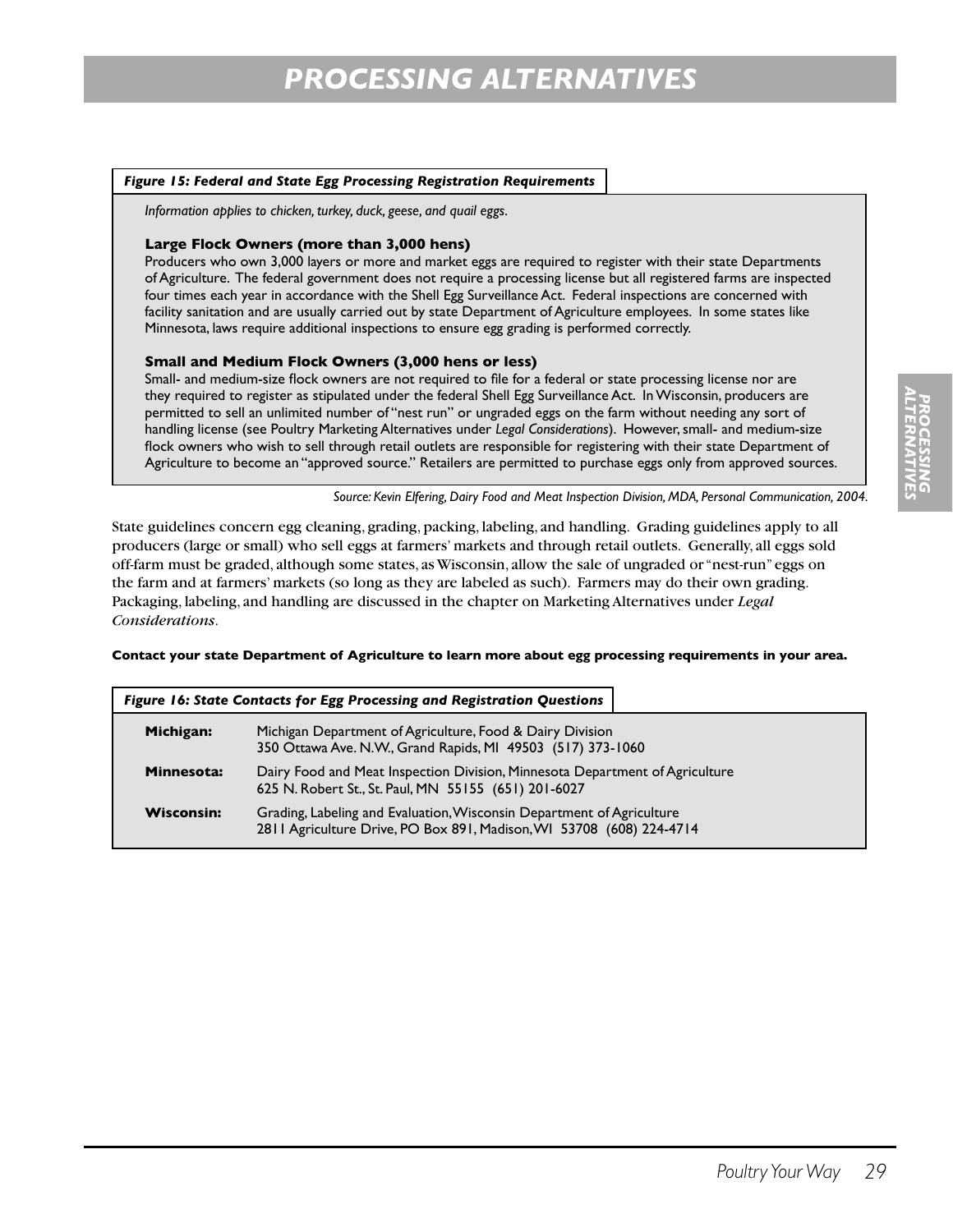#### *Figure 15: Federal and State Egg Processing Registration Requirements*

*Information applies to chicken, turkey, duck, geese, and quail eggs.*

#### **Large Flock Owners (more than 3,000 hens)**

Producers who own 3,000 layers or more and market eggs are required to register with their state Departments of Agriculture. The federal government does not require a processing license but all registered farms are inspected four times each year in accordance with the Shell Egg Surveillance Act. Federal inspections are concerned with facility sanitation and are usually carried out by state Department of Agriculture employees. In some states like Minnesota, laws require additional inspections to ensure egg grading is performed correctly.

#### **Small and Medium Flock Owners (3,000 hens or less)**

Small- and medium-size flock owners are not required to file for a federal or state processing license nor are they required to register as stipulated under the federal Shell Egg Surveillance Act. In Wisconsin, producers are permitted to sell an unlimited number of "nest run" or ungraded eggs on the farm without needing any sort of handling license (see Poultry Marketing Alternatives under *Legal Considerations*). However, small- and medium-size flock owners who wish to sell through retail outlets are responsible for registering with their state Department of Agriculture to become an "approved source." Retailers are permitted to purchase eggs only from approved sources.

*Source: Kevin Elfering, Dairy Food and Meat Inspection Division, MDA, Personal Communication, 2004.*

State guidelines concern egg cleaning, grading, packing, labeling, and handling. Grading guidelines apply to all producers (large or small) who sell eggs at farmers' markets and through retail outlets. Generally, all eggs sold off-farm must be graded, although some states, as Wisconsin, allow the sale of ungraded or "nest-run" eggs on the farm and at farmers' markets (so long as they are labeled as such). Farmers may do their own grading. Packaging, labeling, and handling are discussed in the chapter on Marketing Alternatives under *Legal Considerations*.

#### **Contact your state Department of Agriculture to learn more about egg processing requirements in your area.**

| Figure 16: State Contacts for Egg Processing and Registration Questions |                                                                                                                                               |  |  |
|-------------------------------------------------------------------------|-----------------------------------------------------------------------------------------------------------------------------------------------|--|--|
| Michigan:                                                               | Michigan Department of Agriculture, Food & Dairy Division<br>350 Ottawa Ave. N.W., Grand Rapids, MI 49503 (517) 373-1060                      |  |  |
| Minnesota:                                                              | Dairy Food and Meat Inspection Division, Minnesota Department of Agriculture<br>625 N. Robert St., St. Paul, MN 55155 (651) 201-6027          |  |  |
| <b>Wisconsin:</b>                                                       | Grading, Labeling and Evaluation, Wisconsin Department of Agriculture<br>2811 Agriculture Drive, PO Box 891, Madison, WI 53708 (608) 224-4714 |  |  |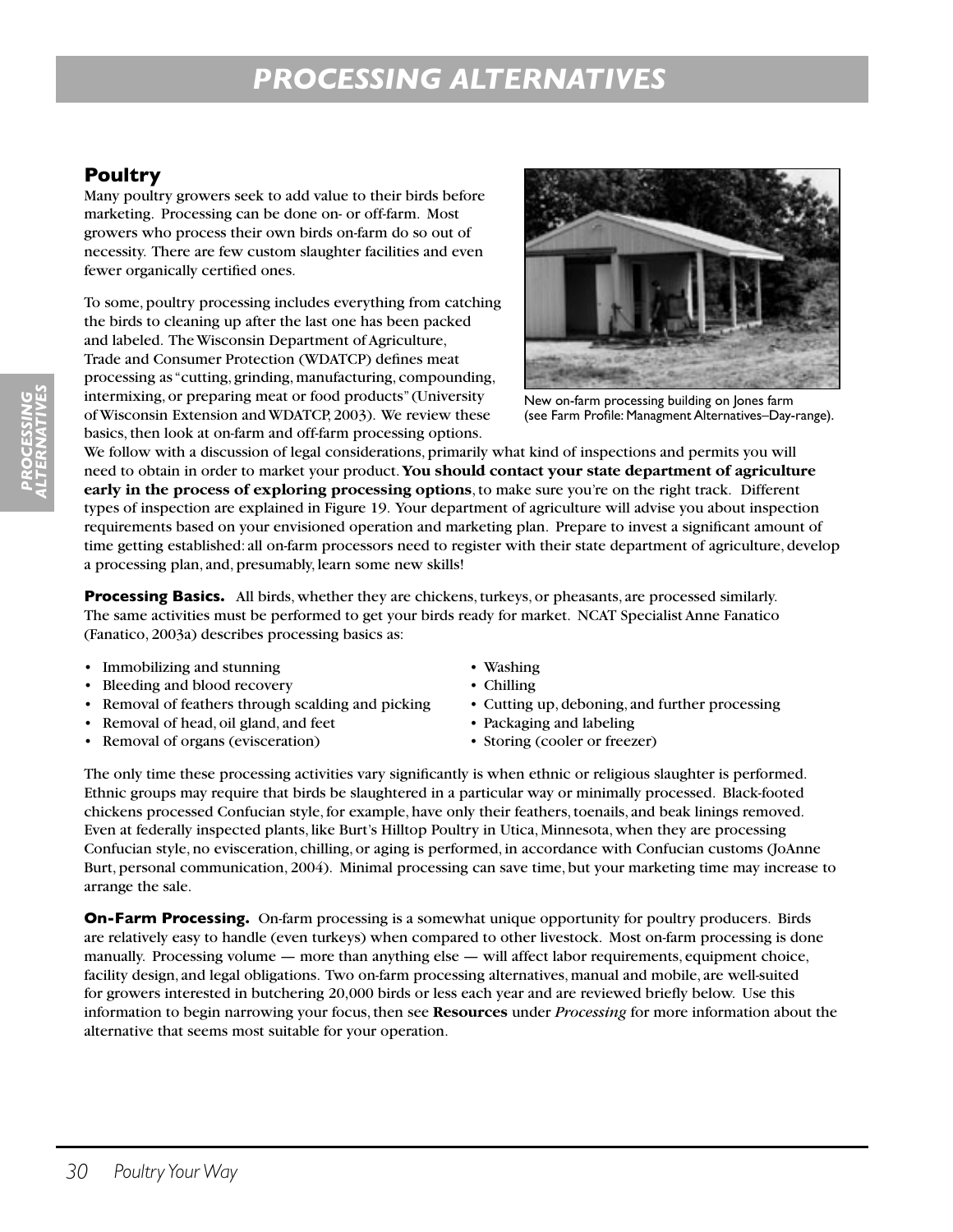## **Poultry**

Many poultry growers seek to add value to their birds before marketing. Processing can be done on- or off-farm. Most growers who process their own birds on-farm do so out of necessity. There are few custom slaughter facilities and even fewer organically certified ones.

To some, poultry processing includes everything from catching the birds to cleaning up after the last one has been packed and labeled. The Wisconsin Department of Agriculture, Trade and Consumer Protection (WDATCP) defines meat processing as "cutting, grinding, manufacturing, compounding, intermixing, or preparing meat or food products" (University of Wisconsin Extension and WDATCP, 2003). We review these basics, then look at on-farm and off-farm processing options.



New on-farm processing building on Jones farm (see Farm Profile: Managment Alternatives–Day-range).

We follow with a discussion of legal considerations, primarily what kind of inspections and permits you will need to obtain in order to market your product. **You should contact your state department of agriculture early in the process of exploring processing options**, to make sure you're on the right track. Different types of inspection are explained in Figure 19. Your department of agriculture will advise you about inspection requirements based on your envisioned operation and marketing plan. Prepare to invest a significant amount of time getting established: all on-farm processors need to register with their state department of agriculture, develop a processing plan, and, presumably, learn some new skills!

**Processing Basics.** All birds, whether they are chickens, turkeys, or pheasants, are processed similarly. The same activities must be performed to get your birds ready for market. NCAT Specialist Anne Fanatico (Fanatico, 2003a) describes processing basics as:

- Immobilizing and stunning Washing
- Bleeding and blood recovery Chilling
- Removal of feathers through scalding and picking Cutting up, deboning, and further processing
- Removal of head, oil gland, and feet Packaging and labeling
- Removal of organs (evisceration) Storing (cooler or freezer)
- 
- 
- 
- -

The only time these processing activities vary significantly is when ethnic or religious slaughter is performed. Ethnic groups may require that birds be slaughtered in a particular way or minimally processed. Black-footed chickens processed Confucian style, for example, have only their feathers, toenails, and beak linings removed. Even at federally inspected plants, like Burt's Hilltop Poultry in Utica, Minnesota, when they are processing Confucian style, no evisceration, chilling, or aging is performed, in accordance with Confucian customs (JoAnne Burt, personal communication, 2004). Minimal processing can save time, but your marketing time may increase to arrange the sale.

**On-Farm Processing.** On-farm processing is a somewhat unique opportunity for poultry producers. Birds are relatively easy to handle (even turkeys) when compared to other livestock. Most on-farm processing is done manually. Processing volume — more than anything else — will affect labor requirements, equipment choice, facility design, and legal obligations. Two on-farm processing alternatives, manual and mobile, are well-suited for growers interested in butchering 20,000 birds or less each year and are reviewed briefly below. Use this information to begin narrowing your focus, then see **Resources** under *Processing* for more information about the alternative that seems most suitable for your operation.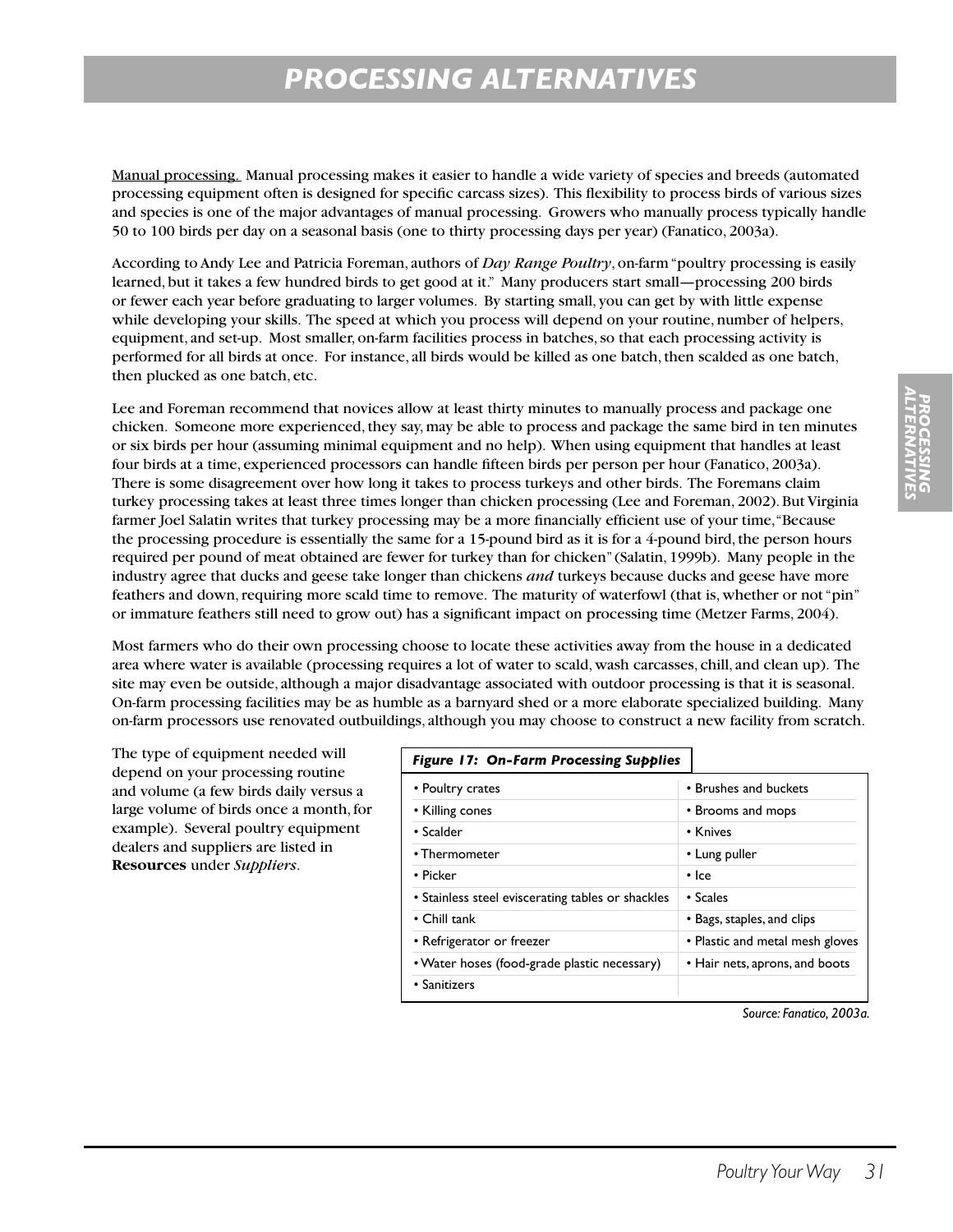Manual processing. Manual processing makes it easier to handle a wide variety of species and breeds (automated processing equipment often is designed for specific carcass sizes). This flexibility to process birds of various sizes and species is one of the major advantages of manual processing. Growers who manually process typically handle 50 to 100 birds per day on a seasonal basis (one to thirty processing days per year) (Fanatico, 2003a).

According to Andy Lee and Patricia Foreman, authors of *Day Range Poultry*, on-farm "poultry processing is easily learned, but it takes a few hundred birds to get good at it." Many producers start small—processing 200 birds or fewer each year before graduating to larger volumes. By starting small, you can get by with little expense while developing your skills. The speed at which you process will depend on your routine, number of helpers, equipment, and set-up. Most smaller, on-farm facilities process in batches, so that each processing activity is performed for all birds at once. For instance, all birds would be killed as one batch, then scalded as one batch, then plucked as one batch, etc.

Lee and Foreman recommend that novices allow at least thirty minutes to manually process and package one chicken. Someone more experienced, they say, may be able to process and package the same bird in ten minutes or six birds per hour (assuming minimal equipment and no help). When using equipment that handles at least four birds at a time, experienced processors can handle fifteen birds per person per hour (Fanatico, 2003a). There is some disagreement over how long it takes to process turkeys and other birds. The Foremans claim turkey processing takes at least three times longer than chicken processing (Lee and Foreman, 2002). But Virginia farmer Joel Salatin writes that turkey processing may be a more financially efficient use of your time, "Because the processing procedure is essentially the same for a 15-pound bird as it is for a 4-pound bird, the person hours required per pound of meat obtained are fewer for turkey than for chicken" (Salatin, 1999b). Many people in the industry agree that ducks and geese take longer than chickens *and* turkeys because ducks and geese have more feathers and down, requiring more scald time to remove. The maturity of waterfowl (that is, whether or not "pin" or immature feathers still need to grow out) has a significant impact on processing time (Metzer Farms, 2004).

Most farmers who do their own processing choose to locate these activities away from the house in a dedicated area where water is available (processing requires a lot of water to scald, wash carcasses, chill, and clean up). The site may even be outside, although a major disadvantage associated with outdoor processing is that it is seasonal. On-farm processing facilities may be as humble as a barnyard shed or a more elaborate specialized building. Many on-farm processors use renovated outbuildings, although you may choose to construct a new facility from scratch.

The type of equipment needed will depend on your processing routine and volume (a few birds daily versus a large volume of birds once a month, for example). Several poultry equipment dealers and suppliers are listed in **Resources** under *Suppliers*.

#### *Figure 17: On-Farm Processing Supplies*

| .                                                 |                                 |
|---------------------------------------------------|---------------------------------|
| • Poultry crates                                  | • Brushes and buckets           |
| • Killing cones                                   | • Brooms and mops               |
| • Scalder                                         | • Knives                        |
| • Thermometer                                     | • Lung puller                   |
| • Picker                                          | • Ice                           |
| • Stainless steel eviscerating tables or shackles | • Scales                        |
| $\cdot$ Chill tank                                | • Bags, staples, and clips      |
| • Refrigerator or freezer                         | • Plastic and metal mesh gloves |
| • Water hoses (food-grade plastic necessary)      | • Hair nets, aprons, and boots  |
| • Sanitizers                                      |                                 |
|                                                   |                                 |

*ALTERNATIVES* PROCESSIN<br>PROCESSIN *PROCESSING*

*Source: Fanatico, 2003a.*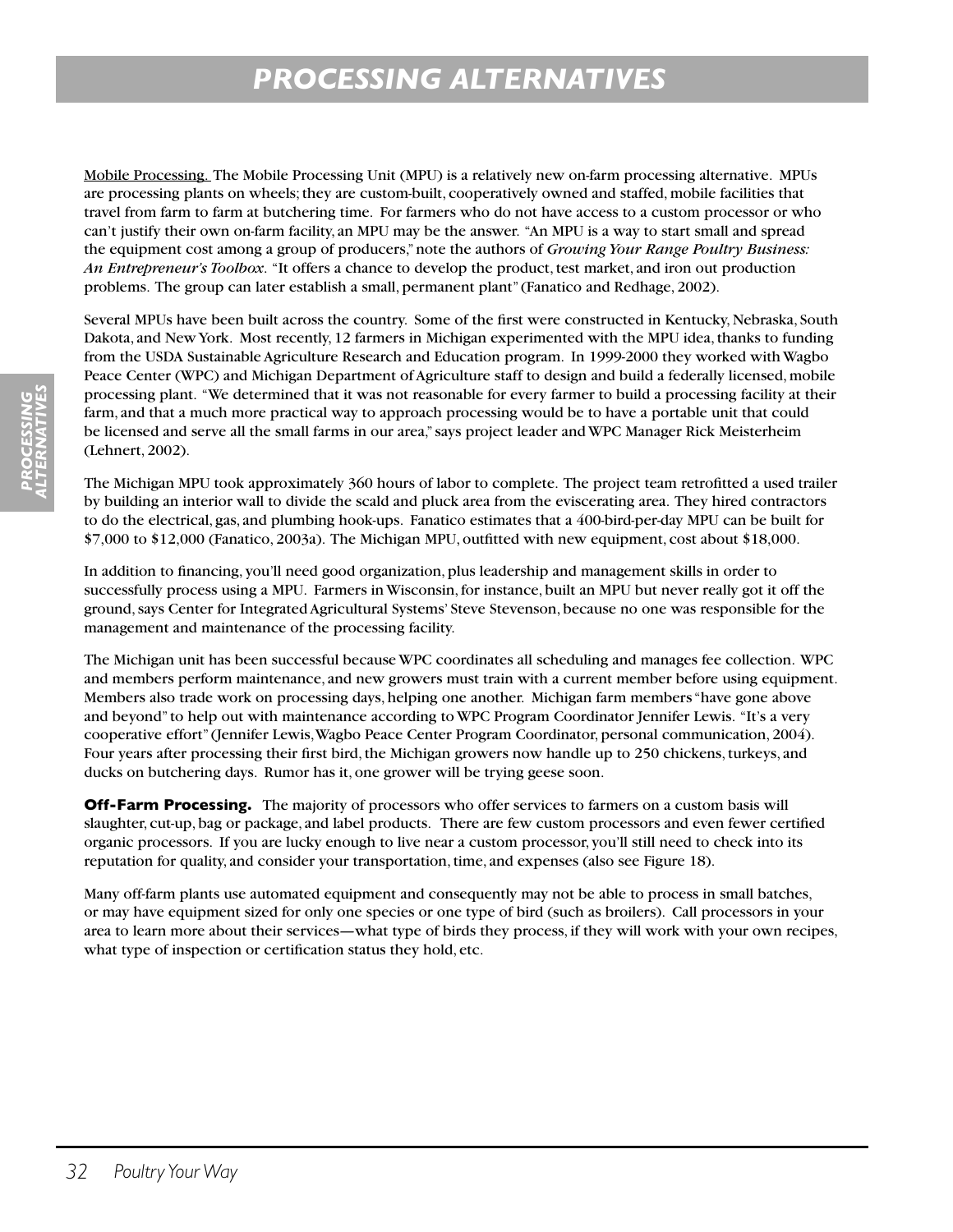Mobile Processing. The Mobile Processing Unit (MPU) is a relatively new on-farm processing alternative. MPUs are processing plants on wheels; they are custom-built, cooperatively owned and staffed, mobile facilities that travel from farm to farm at butchering time. For farmers who do not have access to a custom processor or who can't justify their own on-farm facility, an MPU may be the answer. "An MPU is a way to start small and spread the equipment cost among a group of producers," note the authors of *Growing Your Range Poultry Business: An Entrepreneur's Toolbox*. "It offers a chance to develop the product, test market, and iron out production problems. The group can later establish a small, permanent plant" (Fanatico and Redhage, 2002).

Several MPUs have been built across the country. Some of the first were constructed in Kentucky, Nebraska, South Dakota, and New York. Most recently, 12 farmers in Michigan experimented with the MPU idea, thanks to funding from the USDA Sustainable Agriculture Research and Education program. In 1999-2000 they worked with Wagbo Peace Center (WPC) and Michigan Department of Agriculture staff to design and build a federally licensed, mobile processing plant. "We determined that it was not reasonable for every farmer to build a processing facility at their farm, and that a much more practical way to approach processing would be to have a portable unit that could be licensed and serve all the small farms in our area," says project leader and WPC Manager Rick Meisterheim (Lehnert, 2002).

The Michigan MPU took approximately 360 hours of labor to complete. The project team retrofitted a used trailer by building an interior wall to divide the scald and pluck area from the eviscerating area. They hired contractors to do the electrical, gas, and plumbing hook-ups. Fanatico estimates that a 400-bird-per-day MPU can be built for \$7,000 to \$12,000 (Fanatico, 2003a). The Michigan MPU, outfitted with new equipment, cost about \$18,000.

In addition to financing, you'll need good organization, plus leadership and management skills in order to successfully process using a MPU. Farmers in Wisconsin, for instance, built an MPU but never really got it off the ground, says Center for Integrated Agricultural Systems' Steve Stevenson, because no one was responsible for the management and maintenance of the processing facility.

The Michigan unit has been successful because WPC coordinates all scheduling and manages fee collection. WPC and members perform maintenance, and new growers must train with a current member before using equipment. Members also trade work on processing days, helping one another. Michigan farm members "have gone above and beyond" to help out with maintenance according to WPC Program Coordinator Jennifer Lewis. "It's a very cooperative effort" (Jennifer Lewis, Wagbo Peace Center Program Coordinator, personal communication, 2004). Four years after processing their first bird, the Michigan growers now handle up to 250 chickens, turkeys, and ducks on butchering days. Rumor has it, one grower will be trying geese soon.

**Off-Farm Processing.** The majority of processors who offer services to farmers on a custom basis will slaughter, cut-up, bag or package, and label products. There are few custom processors and even fewer certified organic processors. If you are lucky enough to live near a custom processor, you'll still need to check into its reputation for quality, and consider your transportation, time, and expenses (also see Figure 18).

Many off-farm plants use automated equipment and consequently may not be able to process in small batches, or may have equipment sized for only one species or one type of bird (such as broilers). Call processors in your area to learn more about their services—what type of birds they process, if they will work with your own recipes, what type of inspection or certification status they hold, etc.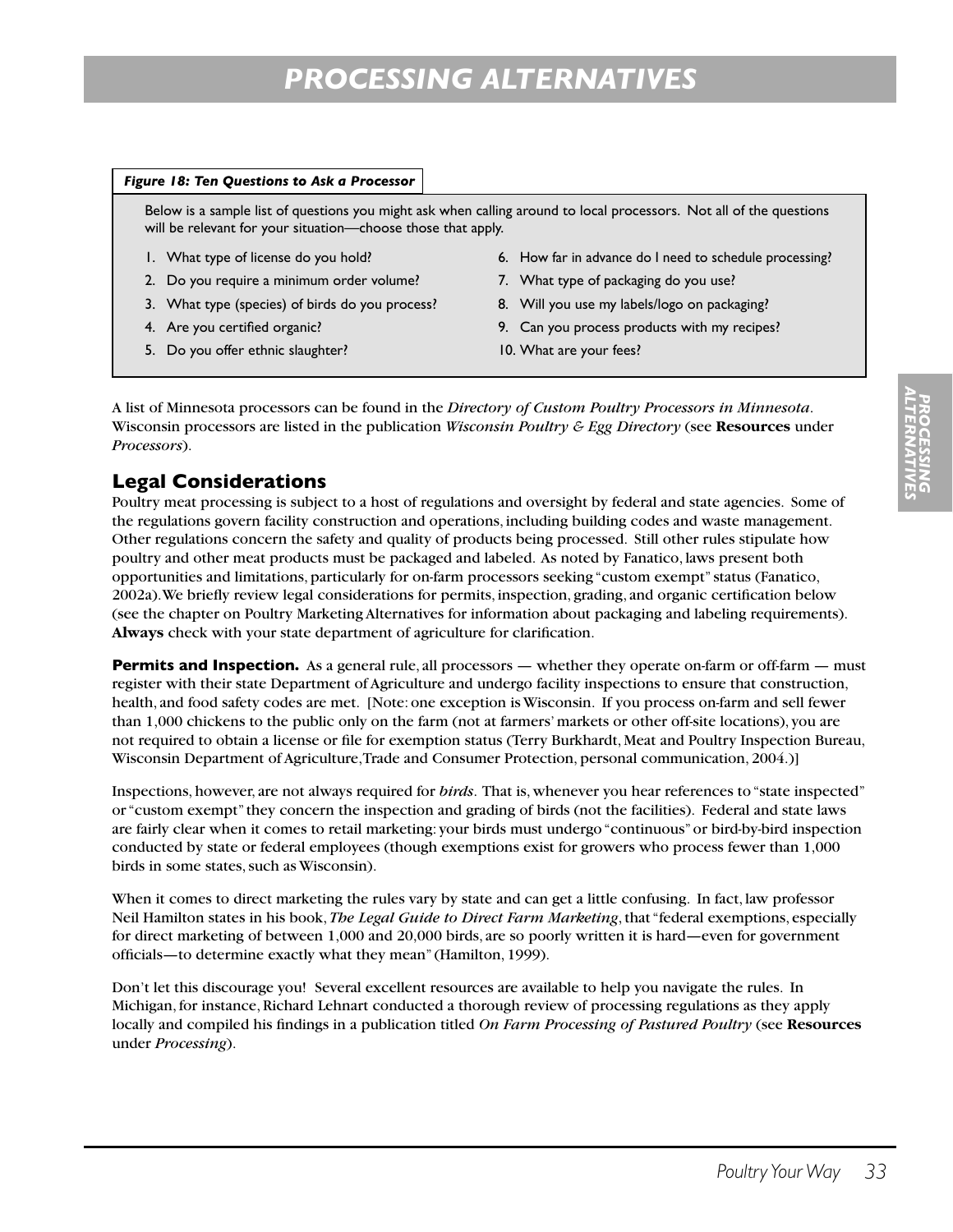#### *Figure 18: Ten Questions to Ask a Processor*

Below is a sample list of questions you might ask when calling around to local processors. Not all of the questions will be relevant for your situation—choose those that apply.

- 1. What type of license do you hold?
- 2. Do you require a minimum order volume?
- 3. What type (species) of birds do you process?
- 4. Are you certified organic?
- 5. Do you offer ethnic slaughter?
- 6. How far in advance do I need to schedule processing?
- 7. What type of packaging do you use?
- 8. Will you use my labels/logo on packaging?
- 9. Can you process products with my recipes?
- 10. What are your fees?

A list of Minnesota processors can be found in the *Directory of Custom Poultry Processors in Minnesota*. Wisconsin processors are listed in the publication *Wisconsin Poultry & Egg Directory* (see **Resources** under *Processors*).

## **Legal Considerations**

Poultry meat processing is subject to a host of regulations and oversight by federal and state agencies. Some of the regulations govern facility construction and operations, including building codes and waste management. Other regulations concern the safety and quality of products being processed. Still other rules stipulate how poultry and other meat products must be packaged and labeled. As noted by Fanatico, laws present both opportunities and limitations, particularly for on-farm processors seeking "custom exempt" status (Fanatico, 2002a). We briefly review legal considerations for permits, inspection, grading, and organic certification below (see the chapter on Poultry Marketing Alternatives for information about packaging and labeling requirements). **Always** check with your state department of agriculture for clarification.

**Permits and Inspection.** As a general rule, all processors — whether they operate on-farm or off-farm — must register with their state Department of Agriculture and undergo facility inspections to ensure that construction, health, and food safety codes are met. [Note: one exception is Wisconsin. If you process on-farm and sell fewer than 1,000 chickens to the public only on the farm (not at farmers' markets or other off-site locations), you are not required to obtain a license or file for exemption status (Terry Burkhardt, Meat and Poultry Inspection Bureau, Wisconsin Department of Agriculture, Trade and Consumer Protection, personal communication, 2004.)]

Inspections, however, are not always required for *birds*. That is, whenever you hear references to "state inspected" or "custom exempt" they concern the inspection and grading of birds (not the facilities). Federal and state laws are fairly clear when it comes to retail marketing: your birds must undergo "continuous" or bird-by-bird inspection conducted by state or federal employees (though exemptions exist for growers who process fewer than 1,000 birds in some states, such as Wisconsin).

When it comes to direct marketing the rules vary by state and can get a little confusing. In fact, law professor Neil Hamilton states in his book, *The Legal Guide to Direct Farm Marketing*, that "federal exemptions, especially for direct marketing of between 1,000 and 20,000 birds, are so poorly written it is hard—even for government officials—to determine exactly what they mean" (Hamilton, 1999).

Don't let this discourage you! Several excellent resources are available to help you navigate the rules. In Michigan, for instance, Richard Lehnart conducted a thorough review of processing regulations as they apply locally and compiled his findings in a publication titled *On Farm Processing of Pastured Poultry* (see **Resources** under *Processing*).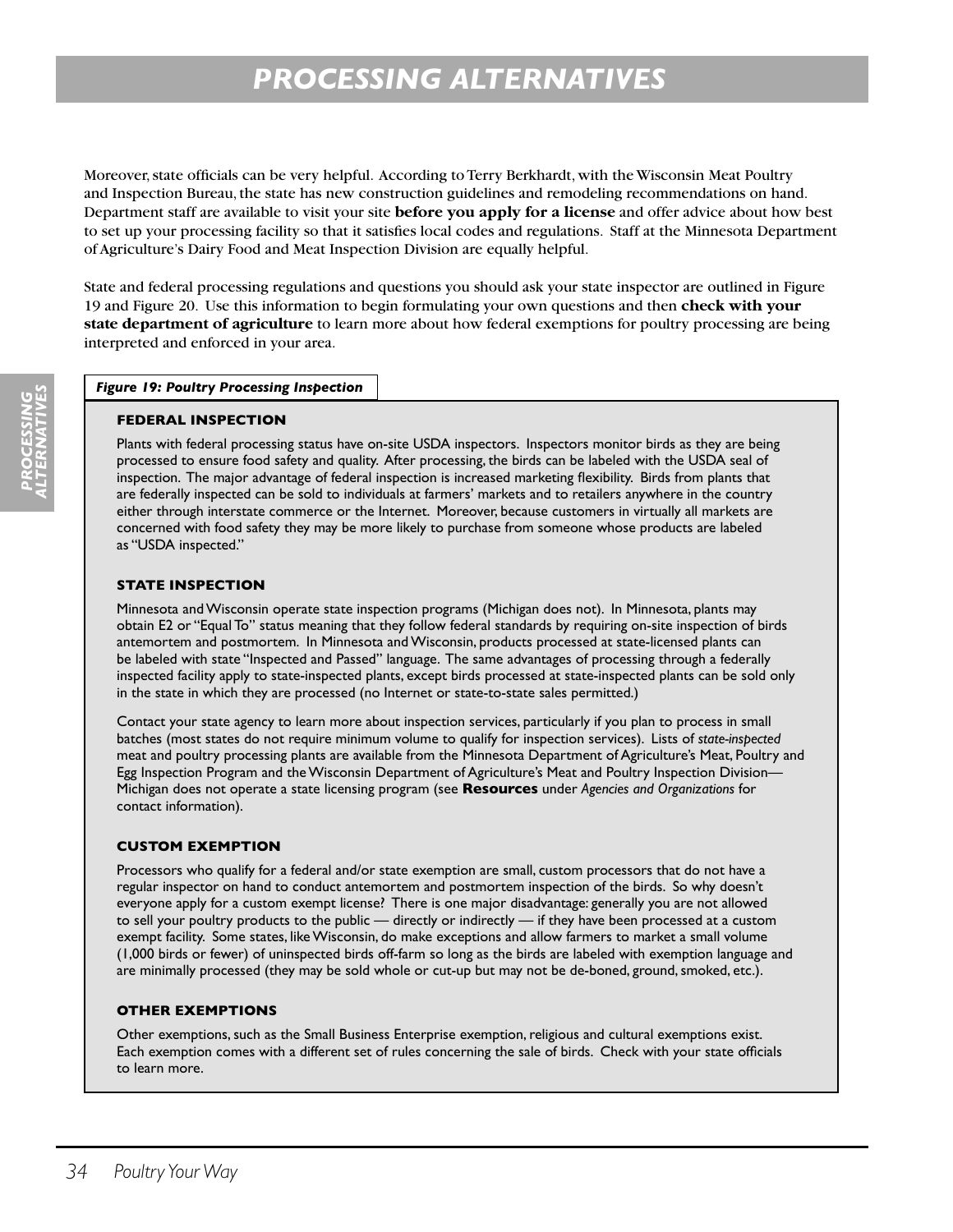Moreover, state officials can be very helpful. According to Terry Berkhardt, with the Wisconsin Meat Poultry and Inspection Bureau, the state has new construction guidelines and remodeling recommendations on hand. Department staff are available to visit your site **before you apply for a license** and offer advice about how best to set up your processing facility so that it satisfies local codes and regulations. Staff at the Minnesota Department of Agriculture's Dairy Food and Meat Inspection Division are equally helpful.

State and federal processing regulations and questions you should ask your state inspector are outlined in Figure 19 and Figure 20. Use this information to begin formulating your own questions and then **check with your state department of agriculture** to learn more about how federal exemptions for poultry processing are being interpreted and enforced in your area.

#### *Figure 19: Poultry Processing Inspection*

#### **FEDERAL INSPECTION**

Plants with federal processing status have on-site USDA inspectors. Inspectors monitor birds as they are being processed to ensure food safety and quality. After processing, the birds can be labeled with the USDA seal of inspection. The major advantage of federal inspection is increased marketing flexibility. Birds from plants that are federally inspected can be sold to individuals at farmers' markets and to retailers anywhere in the country either through interstate commerce or the Internet. Moreover, because customers in virtually all markets are concerned with food safety they may be more likely to purchase from someone whose products are labeled as "USDA inspected."

#### **STATE INSPECTION**

Minnesota and Wisconsin operate state inspection programs (Michigan does not). In Minnesota, plants may obtain E2 or "Equal To" status meaning that they follow federal standards by requiring on-site inspection of birds antemortem and postmortem. In Minnesota and Wisconsin, products processed at state-licensed plants can be labeled with state "Inspected and Passed" language. The same advantages of processing through a federally inspected facility apply to state-inspected plants, except birds processed at state-inspected plants can be sold only in the state in which they are processed (no Internet or state-to-state sales permitted.)

Contact your state agency to learn more about inspection services, particularly if you plan to process in small batches (most states do not require minimum volume to qualify for inspection services). Lists of *state-inspected* meat and poultry processing plants are available from the Minnesota Department of Agriculture's Meat, Poultry and Egg Inspection Program and the Wisconsin Department of Agriculture's Meat and Poultry Inspection Division— Michigan does not operate a state licensing program (see **Resources** under *Agencies and Organizations* for contact information).

#### **CUSTOM EXEMPTION**

Processors who qualify for a federal and/or state exemption are small, custom processors that do not have a regular inspector on hand to conduct antemortem and postmortem inspection of the birds. So why doesn't everyone apply for a custom exempt license? There is one major disadvantage: generally you are not allowed to sell your poultry products to the public — directly or indirectly — if they have been processed at a custom exempt facility. Some states, like Wisconsin, do make exceptions and allow farmers to market a small volume (1,000 birds or fewer) of uninspected birds off-farm so long as the birds are labeled with exemption language and are minimally processed (they may be sold whole or cut-up but may not be de-boned, ground, smoked, etc.).

#### **OTHER EXEMPTIONS**

Other exemptions, such as the Small Business Enterprise exemption, religious and cultural exemptions exist. Each exemption comes with a different set of rules concerning the sale of birds. Check with your state officials to learn more.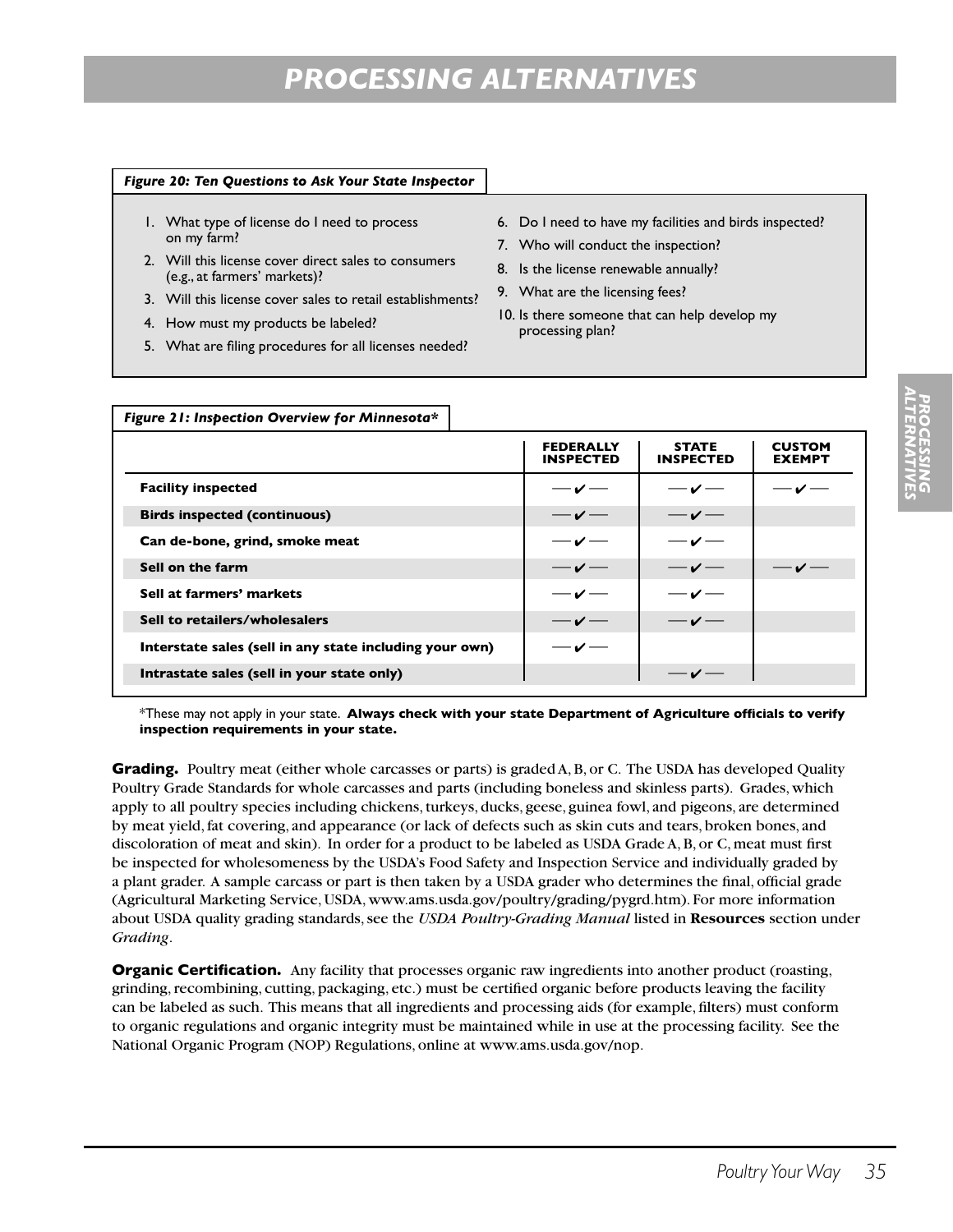#### *Figure 20: Ten Questions to Ask Your State Inspector*

- 1. What type of license do I need to process on my farm?
- 2. Will this license cover direct sales to consumers (e.g., at farmers' markets)?
- 3. Will this license cover sales to retail establishments?
- 4. How must my products be labeled?
- 5. What are filing procedures for all licenses needed?
- 6. Do I need to have my facilities and birds inspected?
- 7. Who will conduct the inspection?
- 8. Is the license renewable annually?
- 9. What are the licensing fees?
- 10. Is there someone that can help develop my processing plan?

| Figure 21: Inspection Overview for Minnesota*           |                                      |                                  |                                |
|---------------------------------------------------------|--------------------------------------|----------------------------------|--------------------------------|
|                                                         | <b>FEDERALLY</b><br><b>INSPECTED</b> | <b>STATE</b><br><b>INSPECTED</b> | <b>CUSTOM</b><br><b>EXEMPT</b> |
| <b>Facility inspected</b>                               | $-\checkmark$                        | $-\sqrt{ }$                      | $-\sqrt{ }$                    |
| <b>Birds inspected (continuous)</b>                     | $-\sqrt{ }$                          | $-\sqrt{-}$                      |                                |
| Can de-bone, grind, smoke meat                          | $-\checkmark$                        | $-\sqrt{ }$                      |                                |
| Sell on the farm                                        | $-\sqrt{ }$                          | $-\sqrt{ }$                      | $-\sqrt{ }$                    |
| Sell at farmers' markets                                | $-\checkmark$                        | $-\sqrt{ }$                      |                                |
| Sell to retailers/wholesalers                           | $-\sqrt{ }$                          | $-\sqrt{-}$                      |                                |
| Interstate sales (sell in any state including your own) | $-\checkmark$                        |                                  |                                |
| Intrastate sales (sell in your state only)              |                                      |                                  |                                |

\*These may not apply in your state. **Always check with your state Department of Agriculture officials to verify inspection requirements in your state.**

**Grading.** Poultry meat (either whole carcasses or parts) is graded A, B, or C. The USDA has developed Quality Poultry Grade Standards for whole carcasses and parts (including boneless and skinless parts). Grades, which apply to all poultry species including chickens, turkeys, ducks, geese, guinea fowl, and pigeons, are determined by meat yield, fat covering, and appearance (or lack of defects such as skin cuts and tears, broken bones, and discoloration of meat and skin). In order for a product to be labeled as USDA Grade A, B, or C, meat must first be inspected for wholesomeness by the USDA's Food Safety and Inspection Service and individually graded by a plant grader. A sample carcass or part is then taken by a USDA grader who determines the final, official grade (Agricultural Marketing Service, USDA, www.ams.usda.gov/poultry/grading/pygrd.htm). For more information about USDA quality grading standards, see the *USDA Poultry-Grading Manual* listed in **Resources** section under *Grading*.

**Organic Certification.** Any facility that processes organic raw ingredients into another product (roasting, grinding, recombining, cutting, packaging, etc.) must be certified organic before products leaving the facility can be labeled as such. This means that all ingredients and processing aids (for example, filters) must conform to organic regulations and organic integrity must be maintained while in use at the processing facility. See the National Organic Program (NOP) Regulations, online at www.ams.usda.gov/nop.